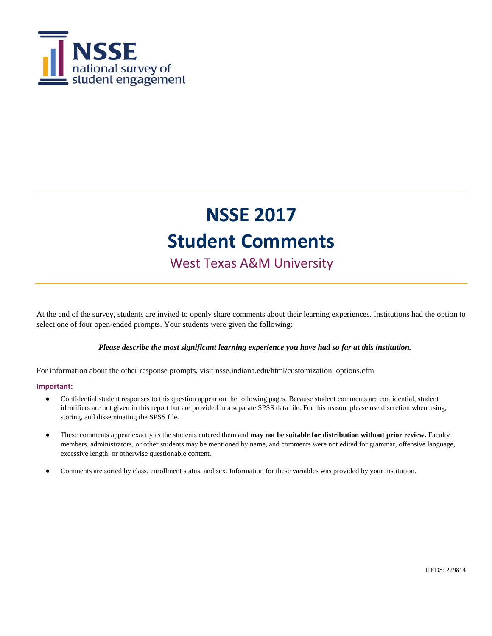

West Texas A&M University

At the end of the survey, students are invited to openly share comments about their learning experiences. Institutions had the option to select one of four open-ended prompts. Your students were given the following:

#### *Please describe the most significant learning experience you have had so far at this institution.*

For information about the other response prompts, visit nsse.indiana.edu/html/customization\_options.cfm

#### **Important:**

- Confidential student responses to this question appear on the following pages. Because student comments are confidential, student identifiers are not given in this report but are provided in a separate SPSS data file. For this reason, please use discretion when using, storing, and disseminating the SPSS file.
- These comments appear exactly as the students entered them and **may not be suitable for distribution without prior review.** Faculty members, administrators, or other students may be mentioned by name, and comments were not edited for grammar, offensive language, excessive length, or otherwise questionable content.
- Comments are sorted by class, enrollment status, and sex. Information for these variables was provided by your institution.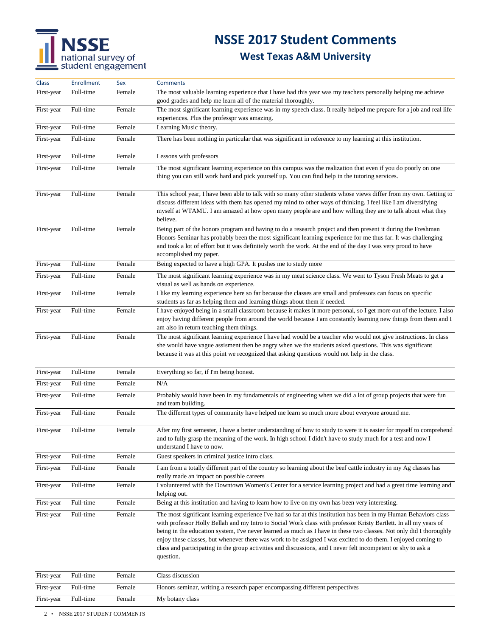## **NSSE 2017 Student Comments**

| Class      | Enrollment | Sex    | <b>Comments</b>                                                                                                                                                                                                                                                                                                                                                                                                                                                                                                                                                                                             |
|------------|------------|--------|-------------------------------------------------------------------------------------------------------------------------------------------------------------------------------------------------------------------------------------------------------------------------------------------------------------------------------------------------------------------------------------------------------------------------------------------------------------------------------------------------------------------------------------------------------------------------------------------------------------|
| First-year | Full-time  | Female | The most valuable learning experience that I have had this year was my teachers personally helping me achieve<br>good grades and help me learn all of the material thoroughly.                                                                                                                                                                                                                                                                                                                                                                                                                              |
| First-year | Full-time  | Female | The most significant learning experience was in my speech class. It really helped me prepare for a job and real life<br>experiences. Plus the professpr was amazing.                                                                                                                                                                                                                                                                                                                                                                                                                                        |
| First-year | Full-time  | Female | Learning Music theory.                                                                                                                                                                                                                                                                                                                                                                                                                                                                                                                                                                                      |
| First-year | Full-time  | Female | There has been nothing in particular that was significant in reference to my learning at this institution.                                                                                                                                                                                                                                                                                                                                                                                                                                                                                                  |
| First-year | Full-time  | Female | Lessons with professors                                                                                                                                                                                                                                                                                                                                                                                                                                                                                                                                                                                     |
| First-year | Full-time  | Female | The most significant learning experience on this campus was the realization that even if you do poorly on one<br>thing you can still work hard and pick yourself up. You can find help in the tutoring services.                                                                                                                                                                                                                                                                                                                                                                                            |
| First-year | Full-time  | Female | This school year, I have been able to talk with so many other students whose views differ from my own. Getting to<br>discuss different ideas with them has opened my mind to other ways of thinking. I feel like I am diversifying<br>myself at WTAMU. I am amazed at how open many people are and how willing they are to talk about what they<br>believe.                                                                                                                                                                                                                                                 |
| First-year | Full-time  | Female | Being part of the honors program and having to do a research project and then present it during the Freshman<br>Honors Seminar has probably been the most significant learning experience for me thus far. It was challenging<br>and took a lot of effort but it was definitely worth the work. At the end of the day I was very proud to have<br>accomplished my paper.                                                                                                                                                                                                                                    |
| First-year | Full-time  | Female | Being expected to have a high GPA. It pushes me to study more                                                                                                                                                                                                                                                                                                                                                                                                                                                                                                                                               |
| First-year | Full-time  | Female | The most significant learning experience was in my meat science class. We went to Tyson Fresh Meats to get a<br>visual as well as hands on experience.                                                                                                                                                                                                                                                                                                                                                                                                                                                      |
| First-year | Full-time  | Female | I like my learning experience here so far because the classes are small and professors can focus on specific<br>students as far as helping them and learning things about them if needed.                                                                                                                                                                                                                                                                                                                                                                                                                   |
| First-year | Full-time  | Female | I have enjoyed being in a small classroom because it makes it more personal, so I get more out of the lecture. I also<br>enjoy having different people from around the world because I am constantly learning new things from them and I<br>am also in return teaching them things.                                                                                                                                                                                                                                                                                                                         |
| First-year | Full-time  | Female | The most significant learning experience I have had would be a teacher who would not give instructions. In class<br>she would have vague assisment then be angry when we the students asked questions. This was significant<br>because it was at this point we recognized that asking questions would not help in the class.                                                                                                                                                                                                                                                                                |
| First-year | Full-time  | Female | Everything so far, if I'm being honest.                                                                                                                                                                                                                                                                                                                                                                                                                                                                                                                                                                     |
| First-year | Full-time  | Female | N/A                                                                                                                                                                                                                                                                                                                                                                                                                                                                                                                                                                                                         |
| First-year | Full-time  | Female | Probably would have been in my fundamentals of engineering when we did a lot of group projects that were fun<br>and team building.                                                                                                                                                                                                                                                                                                                                                                                                                                                                          |
| First-year | Full-time  | Female | The different types of community have helped me learn so much more about everyone around me.                                                                                                                                                                                                                                                                                                                                                                                                                                                                                                                |
| First-year | Full-time  | Female | After my first semester, I have a better understanding of how to study to were it is easier for myself to comprehend<br>and to fully grasp the meaning of the work. In high school I didn't have to study much for a test and now I<br>understand I have to now.                                                                                                                                                                                                                                                                                                                                            |
| First-year | Full-time  | Female | Guest speakers in criminal justice intro class.                                                                                                                                                                                                                                                                                                                                                                                                                                                                                                                                                             |
| First-year | Full-time  | Female | I am from a totally different part of the country so learning about the beef cattle industry in my Ag classes has<br>really made an impact on possible careers                                                                                                                                                                                                                                                                                                                                                                                                                                              |
| First-year | Full-time  | Female | I volunteered with the Downtown Women's Center for a service learning project and had a great time learning and<br>helping out.                                                                                                                                                                                                                                                                                                                                                                                                                                                                             |
| First-year | Full-time  | Female | Being at this institution and having to learn how to live on my own has been very interesting.                                                                                                                                                                                                                                                                                                                                                                                                                                                                                                              |
| First-year | Full-time  | Female | The most significant learning experience I've had so far at this institution has been in my Human Behaviors class<br>with professor Holly Bellah and my Intro to Social Work class with professor Kristy Bartlett. In all my years of<br>being in the education system, I've never learned as much as I have in these two classes. Not only did I thoroughly<br>enjoy these classes, but whenever there was work to be assigned I was excited to do them. I enjoyed coming to<br>class and participating in the group activities and discussions, and I never felt incompetent or shy to ask a<br>question. |
| First-year | Full-time  | Female | Class discussion                                                                                                                                                                                                                                                                                                                                                                                                                                                                                                                                                                                            |
| First-year | Full-time  | Female | Honors seminar, writing a research paper encompassing different perspectives                                                                                                                                                                                                                                                                                                                                                                                                                                                                                                                                |
| First-year | Full-time  | Female | My botany class                                                                                                                                                                                                                                                                                                                                                                                                                                                                                                                                                                                             |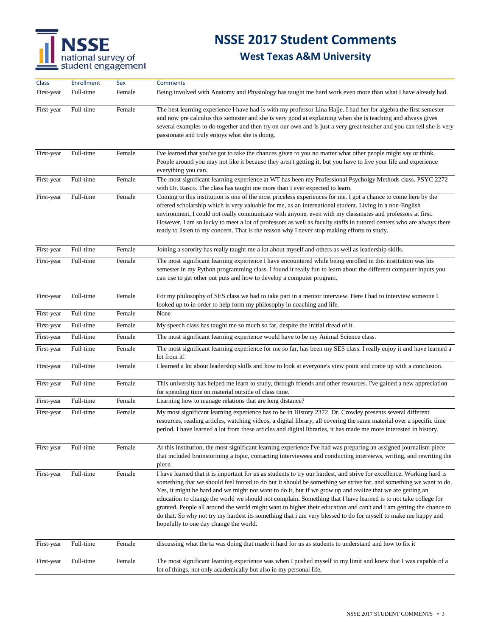## **NSSE 2017 Student Comments**

| <b>Class</b> | <b>Enrollment</b> | Sex    | <b>Comments</b>                                                                                                                                                                                                                                                                                                                                                                                                                                                                                                                                                                                                                                                                                                                                             |
|--------------|-------------------|--------|-------------------------------------------------------------------------------------------------------------------------------------------------------------------------------------------------------------------------------------------------------------------------------------------------------------------------------------------------------------------------------------------------------------------------------------------------------------------------------------------------------------------------------------------------------------------------------------------------------------------------------------------------------------------------------------------------------------------------------------------------------------|
| First-year   | Full-time         | Female | Being involved with Anatomy and Physiology has taught me hard work even more than what I have already had.                                                                                                                                                                                                                                                                                                                                                                                                                                                                                                                                                                                                                                                  |
| First-year   | Full-time         | Female | The best learning experience I have had is with my professor Lina Hajje. I had her for algebra the first semester<br>and now pre calculus this semester and she is very good at explaining when she is teaching and always gives<br>several examples to do together and then try on our own and is just a very great teacher and you can tell she is very<br>passionate and truly enjoys what she is doing.                                                                                                                                                                                                                                                                                                                                                 |
| First-year   | Full-time         | Female | I've learned that you've got to take the chances given to you no matter what other people might say or think.<br>People around you may not like it because they aren't getting it, but you have to live your life and experience<br>everything you can.                                                                                                                                                                                                                                                                                                                                                                                                                                                                                                     |
| First-year   | Full-time         | Female | The most significant learning experience at WT has been my Professional Psycholgy Methods class. PSYC 2272<br>with Dr. Rasco. The class has taught me more than I ever expected to learn.                                                                                                                                                                                                                                                                                                                                                                                                                                                                                                                                                                   |
| First-year   | Full-time         | Female | Coming to this institution is one of the most priceless experiences for me. I got a chance to come here by the<br>offered scholarship which is very valuable for me, as an international student. Living in a non-English<br>environment, I could not really communicate with anyone, even with my classmates and professors at first.<br>However, I am so lucky to meet a lot of professors as well as faculty staffs in tutored centers who are always there<br>ready to listen to my concern. That is the reason why I never stop making efforts to study.                                                                                                                                                                                               |
| First-year   | Full-time         | Female | Joining a sorority has really taught me a lot about myself and others as well as leadership skills.                                                                                                                                                                                                                                                                                                                                                                                                                                                                                                                                                                                                                                                         |
| First-year   | Full-time         | Female | The most significant learning experience I have encountered while being enrolled in this institution was his<br>semester in my Python programming class. I found it really fun to learn about the different computer inputs you<br>can use to get other out puts and how to develop a computer program.                                                                                                                                                                                                                                                                                                                                                                                                                                                     |
| First-year   | Full-time         | Female | For my philosophy of SES class we had to take part in a mentor interview. Here I had to interview someone I<br>looked up to in order to help form my philosophy in coaching and life.                                                                                                                                                                                                                                                                                                                                                                                                                                                                                                                                                                       |
| First-year   | Full-time         | Female | None                                                                                                                                                                                                                                                                                                                                                                                                                                                                                                                                                                                                                                                                                                                                                        |
| First-year   | Full-time         | Female | My speech class has taught me so much so far, despite the initial dread of it.                                                                                                                                                                                                                                                                                                                                                                                                                                                                                                                                                                                                                                                                              |
| First-year   | Full-time         | Female | The most significant learning experience would have to be my Animal Science class.                                                                                                                                                                                                                                                                                                                                                                                                                                                                                                                                                                                                                                                                          |
| First-year   | Full-time         | Female | The most significant learning experience for me so far, has been my SES class. I really enjoy it and have learned a<br>lot from it!                                                                                                                                                                                                                                                                                                                                                                                                                                                                                                                                                                                                                         |
| First-year   | Full-time         | Female | I learned a lot about leadership skills and how to look at everyone's view point and come up with a conclusion.                                                                                                                                                                                                                                                                                                                                                                                                                                                                                                                                                                                                                                             |
| First-year   | Full-time         | Female | This university has helped me learn to study, through friends and other resources. I've gained a new appreciation<br>for spending time on material outside of class time.                                                                                                                                                                                                                                                                                                                                                                                                                                                                                                                                                                                   |
| First-year   | Full-time         | Female | Learning how to manage relations that are long distance?                                                                                                                                                                                                                                                                                                                                                                                                                                                                                                                                                                                                                                                                                                    |
| First-year   | Full-time         | Female | My most significant learning experience has to be in History 2372. Dr. Crowley presents several different<br>resources, reading articles, watching videos, a digital library, all covering the same material over a specific time<br>period. I have learned a lot from these articles and digital libraries, it has made me more interested in history.                                                                                                                                                                                                                                                                                                                                                                                                     |
| First-year   | Full-time         | Female | At this institution, the most significant learning experience I've had was preparing an assigned journalism piece<br>that included brainstorming a topic, contacting interviewees and conducting interviews, writing, and rewriting the<br>piece.                                                                                                                                                                                                                                                                                                                                                                                                                                                                                                           |
| First-year   | Full-time         | Female | I have learned that it is important for us as students to try our hardest, and strive for excellence. Working hard is<br>something that we should feel forced to do but it should be something we strive for, and something we want to do.<br>Yes, it might be hard and we might not want to do it, but if we grow up and realize that we are getting an<br>education to change the world we should not complain. Something that I have learned is to not take college for<br>granted. People all around the world might want to higher their education and can't and i am getting the chance to<br>do that. So why not try my hardest its something that i am very blessed to do for myself to make me happy and<br>hopefully to one day change the world. |
| First-year   | Full-time         | Female | discussing what the ta was doing that made it hard for us as students to understand and how to fix it                                                                                                                                                                                                                                                                                                                                                                                                                                                                                                                                                                                                                                                       |
| First-year   | Full-time         | Female | The most significant learning experience was when I pushed myself to my limit and knew that I was capable of a<br>lot of things, not only academically but also in my personal life.                                                                                                                                                                                                                                                                                                                                                                                                                                                                                                                                                                        |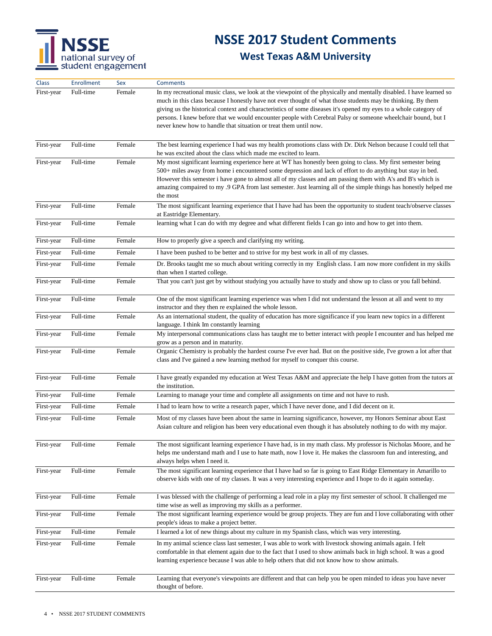

| Class      | <b>Enrollment</b> | Sex    | <b>Comments</b>                                                                                                                                                                                                                                                                                                                                                                                                                                                                                                                            |
|------------|-------------------|--------|--------------------------------------------------------------------------------------------------------------------------------------------------------------------------------------------------------------------------------------------------------------------------------------------------------------------------------------------------------------------------------------------------------------------------------------------------------------------------------------------------------------------------------------------|
| First-year | Full-time         | Female | In my recreational music class, we look at the viewpoint of the physically and mentally disabled. I have learned so<br>much in this class because I honestly have not ever thought of what those students may be thinking. By them<br>giving us the historical context and characteristics of some diseases it's opened my eyes to a whole category of<br>persons. I knew before that we would encounter people with Cerebral Palsy or someone wheelchair bound, but I<br>never knew how to handle that situation or treat them until now. |
| First-year | Full-time         | Female | The best learning experience I had was my health promotions class with Dr. Dirk Nelson because I could tell that<br>he was excited about the class which made me excited to learn.                                                                                                                                                                                                                                                                                                                                                         |
| First-year | Full-time         | Female | My most significant learning experience here at WT has honestly been going to class. My first semester being<br>500+ miles away from home i encountered some depression and lack of effort to do anything but stay in bed.<br>However this semester i have gone to almost all of my classes and am passing them with A's and B's which is<br>amazing compaired to my .9 GPA from last semester. Just learning all of the simple things has honestly helped me<br>the most                                                                  |
| First-year | Full-time         | Female | The most significant learning experience that I have had has been the opportunity to student teach/observe classes<br>at Eastridge Elementary.                                                                                                                                                                                                                                                                                                                                                                                             |
| First-year | Full-time         | Female | learning what I can do with my degree and what different fields I can go into and how to get into them.                                                                                                                                                                                                                                                                                                                                                                                                                                    |
| First-year | Full-time         | Female | How to properly give a speech and clarifying my writing.                                                                                                                                                                                                                                                                                                                                                                                                                                                                                   |
| First-year | Full-time         | Female | I have been pushed to be better and to strive for my best work in all of my classes.                                                                                                                                                                                                                                                                                                                                                                                                                                                       |
| First-year | Full-time         | Female | Dr. Brooks taught me so much about writing correctly in my English class. I am now more confident in my skills<br>than when I started college.                                                                                                                                                                                                                                                                                                                                                                                             |
| First-year | Full-time         | Female | That you can't just get by without studying you actually have to study and show up to class or you fall behind.                                                                                                                                                                                                                                                                                                                                                                                                                            |
| First-year | Full-time         | Female | One of the most significant learning experience was when I did not understand the lesson at all and went to my<br>instructor and they then re explained the whole lesson.                                                                                                                                                                                                                                                                                                                                                                  |
| First-year | Full-time         | Female | As an international student, the quality of education has more significance if you learn new topics in a different<br>language. I think Im constantly learning                                                                                                                                                                                                                                                                                                                                                                             |
| First-year | Full-time         | Female | My interpersonal communications class has taught me to better interact with people I encounter and has helped me<br>grow as a person and in maturity.                                                                                                                                                                                                                                                                                                                                                                                      |
| First-year | Full-time         | Female | Organic Chemistry is probably the hardest course I've ever had. But on the positive side, I've grown a lot after that<br>class and I've gained a new learning method for myself to conquer this course.                                                                                                                                                                                                                                                                                                                                    |
| First-year | Full-time         | Female | I have greatly expanded my education at West Texas A&M and appreciate the help I have gotten from the tutors at<br>the institution.                                                                                                                                                                                                                                                                                                                                                                                                        |
| First-year | Full-time         | Female | Learning to manage your time and complete all assignments on time and not have to rush.                                                                                                                                                                                                                                                                                                                                                                                                                                                    |
| First-year | Full-time         | Female | I had to learn how to write a research paper, which I have never done, and I did decent on it.                                                                                                                                                                                                                                                                                                                                                                                                                                             |
| First-year | Full-time         | Female | Most of my classes have been about the same in learning significance, however, my Honors Seminar about East<br>Asian culture and religion has been very educational even though it has absolutely nothing to do with my major.                                                                                                                                                                                                                                                                                                             |
| First-year | Full-time         | Female | The most significant learning experience I have had, is in my math class. My professor is Nicholas Moore, and he<br>helps me understand math and I use to hate math, now I love it. He makes the classroom fun and interesting, and<br>always helps when I need it.                                                                                                                                                                                                                                                                        |
| First-year | Full-time         | Female | The most significant learning experience that I have had so far is going to East Ridge Elementary in Amarillo to<br>observe kids with one of my classes. It was a very interesting experience and I hope to do it again someday.                                                                                                                                                                                                                                                                                                           |
| First-year | Full-time         | Female | I was blessed with the challenge of performing a lead role in a play my first semester of school. It challenged me<br>time wise as well as improving my skills as a performer.                                                                                                                                                                                                                                                                                                                                                             |
| First-year | Full-time         | Female | The most significant learning experience would be group projects. They are fun and I love collaborating with other<br>people's ideas to make a project better.                                                                                                                                                                                                                                                                                                                                                                             |
| First-year | Full-time         | Female | I learned a lot of new things about my culture in my Spanish class, which was very interesting.                                                                                                                                                                                                                                                                                                                                                                                                                                            |
| First-year | Full-time         | Female | In my animal science class last semester, I was able to work with livestock showing animals again. I felt<br>comfortable in that element again due to the fact that I used to show animals back in high school. It was a good<br>learning experience because I was able to help others that did not know how to show animals.                                                                                                                                                                                                              |
| First-year | Full-time         | Female | Learning that everyone's viewpoints are different and that can help you be open minded to ideas you have never<br>thought of before.                                                                                                                                                                                                                                                                                                                                                                                                       |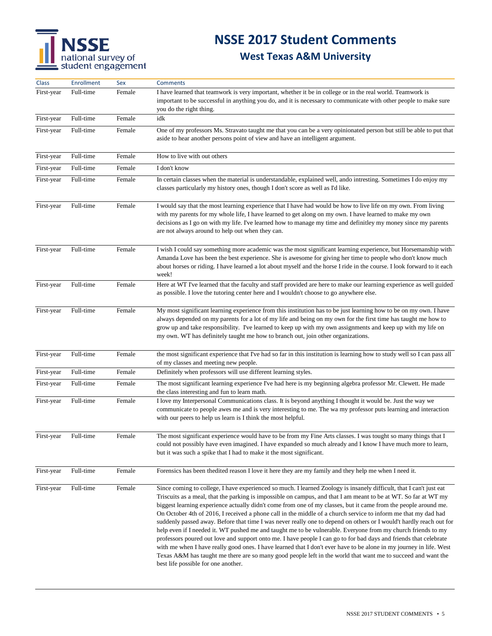## **NSSE 2017 Student Comments**

| Class      | <b>Enrollment</b> | Sex    | <b>Comments</b>                                                                                                                                                                                                                                                                                                                                                                                                                                                                                                                                                                                                                                                                                                                                                                                                                                                                                                                                                                                                                                                                                                       |
|------------|-------------------|--------|-----------------------------------------------------------------------------------------------------------------------------------------------------------------------------------------------------------------------------------------------------------------------------------------------------------------------------------------------------------------------------------------------------------------------------------------------------------------------------------------------------------------------------------------------------------------------------------------------------------------------------------------------------------------------------------------------------------------------------------------------------------------------------------------------------------------------------------------------------------------------------------------------------------------------------------------------------------------------------------------------------------------------------------------------------------------------------------------------------------------------|
| First-year | Full-time         | Female | I have learned that teamwork is very important, whether it be in college or in the real world. Teamwork is<br>important to be successful in anything you do, and it is necessary to communicate with other people to make sure<br>you do the right thing.                                                                                                                                                                                                                                                                                                                                                                                                                                                                                                                                                                                                                                                                                                                                                                                                                                                             |
| First-year | Full-time         | Female | idk                                                                                                                                                                                                                                                                                                                                                                                                                                                                                                                                                                                                                                                                                                                                                                                                                                                                                                                                                                                                                                                                                                                   |
| First-year | Full-time         | Female | One of my professors Ms. Stravato taught me that you can be a very opinionated person but still be able to put that<br>aside to hear another persons point of view and have an intelligent argument.                                                                                                                                                                                                                                                                                                                                                                                                                                                                                                                                                                                                                                                                                                                                                                                                                                                                                                                  |
| First-year | Full-time         | Female | How to live with out others                                                                                                                                                                                                                                                                                                                                                                                                                                                                                                                                                                                                                                                                                                                                                                                                                                                                                                                                                                                                                                                                                           |
| First-year | Full-time         | Female | I don't know                                                                                                                                                                                                                                                                                                                                                                                                                                                                                                                                                                                                                                                                                                                                                                                                                                                                                                                                                                                                                                                                                                          |
| First-year | Full-time         | Female | In certain classes when the material is understandable, explained well, ando intresting. Sometimes I do enjoy my<br>classes particularly my history ones, though I don't score as well as I'd like.                                                                                                                                                                                                                                                                                                                                                                                                                                                                                                                                                                                                                                                                                                                                                                                                                                                                                                                   |
| First-year | Full-time         | Female | I would say that the most learning experience that I have had would be how to live life on my own. From living<br>with my parents for my whole life, I have learned to get along on my own. I have learned to make my own<br>decisions as I go on with my life. I've learned how to manage my time and definitley my money since my parents<br>are not always around to help out when they can.                                                                                                                                                                                                                                                                                                                                                                                                                                                                                                                                                                                                                                                                                                                       |
| First-year | Full-time         | Female | I wish I could say something more academic was the most significant learning experience, but Horsemanship with<br>Amanda Love has been the best experience. She is awesome for giving her time to people who don't know much<br>about horses or riding. I have learned a lot about myself and the horse I ride in the course. I look forward to it each<br>week!                                                                                                                                                                                                                                                                                                                                                                                                                                                                                                                                                                                                                                                                                                                                                      |
| First-year | Full-time         | Female | Here at WT I've learned that the faculty and staff provided are here to make our learning experience as well guided<br>as possible. I love the tutoring center here and I wouldn't choose to go anywhere else.                                                                                                                                                                                                                                                                                                                                                                                                                                                                                                                                                                                                                                                                                                                                                                                                                                                                                                        |
| First-year | Full-time         | Female | My most significant learning experience from this institution has to be just learning how to be on my own. I have<br>always depended on my parents for a lot of my life and being on my own for the first time has taught me how to<br>grow up and take responsibility. I've learned to keep up with my own assignments and keep up with my life on<br>my own. WT has definitely taught me how to branch out, join other organizations.                                                                                                                                                                                                                                                                                                                                                                                                                                                                                                                                                                                                                                                                               |
| First-year | Full-time         | Female | the most significant experience that I've had so far in this institution is learning how to study well so I can pass all<br>of my classes and meeting new people.                                                                                                                                                                                                                                                                                                                                                                                                                                                                                                                                                                                                                                                                                                                                                                                                                                                                                                                                                     |
| First-year | Full-time         | Female | Definitely when professors will use different learning styles.                                                                                                                                                                                                                                                                                                                                                                                                                                                                                                                                                                                                                                                                                                                                                                                                                                                                                                                                                                                                                                                        |
| First-year | Full-time         | Female | The most significant learning experience I've had here is my beginning algebra professor Mr. Clewett. He made<br>the class interesting and fun to learn math.                                                                                                                                                                                                                                                                                                                                                                                                                                                                                                                                                                                                                                                                                                                                                                                                                                                                                                                                                         |
| First-year | Full-time         | Female | I love my Interpersonal Communications class. It is beyond anything I thought it would be. Just the way we<br>communicate to people awes me and is very interesting to me. The wa my professor puts learning and interaction<br>with our peers to help us learn is I think the most helpful.                                                                                                                                                                                                                                                                                                                                                                                                                                                                                                                                                                                                                                                                                                                                                                                                                          |
| First-year | Full-time         | Female | The most significant experience would have to be from my Fine Arts classes. I was tought so many things that I<br>could not possibly have even imagined. I have expanded so much already and I know I have much more to learn,<br>but it was such a spike that I had to make it the most significant.                                                                                                                                                                                                                                                                                                                                                                                                                                                                                                                                                                                                                                                                                                                                                                                                                 |
| First-year | Full-time         | Female | Forensics has been thedited reason I love it here they are my family and they help me when I need it.                                                                                                                                                                                                                                                                                                                                                                                                                                                                                                                                                                                                                                                                                                                                                                                                                                                                                                                                                                                                                 |
| First-year | Full-time         | Female | Since coming to college, I have experienced so much. I learned Zoology is insanely difficult, that I can't just eat<br>Triscuits as a meal, that the parking is impossible on campus, and that I am meant to be at WT. So far at WT my<br>biggest learning experience actually didn't come from one of my classes, but it came from the people around me.<br>On October 4th of 2016, I received a phone call in the middle of a church service to inform me that my dad had<br>suddenly passed away. Before that time I was never really one to depend on others or I would't hardly reach out for<br>help even if I needed it. WT pushed me and taught me to be vulnerable. Everyone from my church friends to my<br>professors poured out love and support onto me. I have people I can go to for bad days and friends that celebrate<br>with me when I have really good ones. I have learned that I don't ever have to be alone in my journey in life. West<br>Texas A&M has taught me there are so many good people left in the world that want me to succeed and want the<br>best life possible for one another. |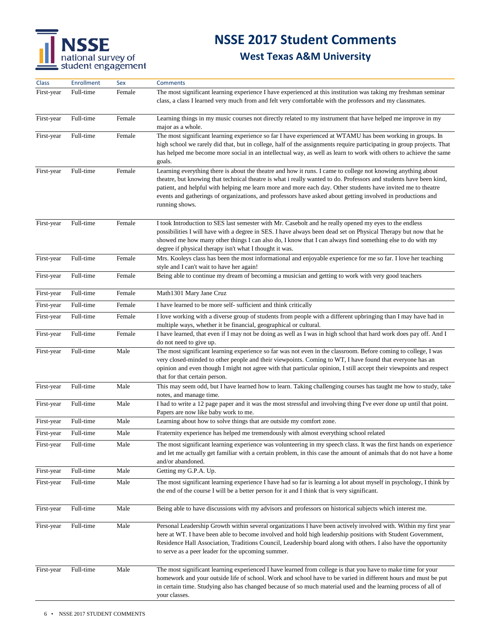## **NSSE 2017 Student Comments**

| <b>Class</b> | <b>Enrollment</b> | Sex    | <b>Comments</b>                                                                                                                                                                                                                                                                                                                                                                                                                                                                     |
|--------------|-------------------|--------|-------------------------------------------------------------------------------------------------------------------------------------------------------------------------------------------------------------------------------------------------------------------------------------------------------------------------------------------------------------------------------------------------------------------------------------------------------------------------------------|
| First-year   | Full-time         | Female | The most significant learning experience I have experienced at this institution was taking my freshman seminar<br>class, a class I learned very much from and felt very comfortable with the professors and my classmates.                                                                                                                                                                                                                                                          |
| First-year   | Full-time         | Female | Learning things in my music courses not directly related to my instrument that have helped me improve in my<br>major as a whole.                                                                                                                                                                                                                                                                                                                                                    |
| First-year   | Full-time         | Female | The most significant learning experience so far I have experienced at WTAMU has been working in groups. In<br>high school we rarely did that, but in college, half of the assignments require participating in group projects. That<br>has helped me become more social in an intellectual way, as well as learn to work with others to achieve the same<br>goals.                                                                                                                  |
| First-year   | Full-time         | Female | Learning everything there is about the theatre and how it runs. I came to college not knowing anything about<br>theatre, but knowing that technical theatre is what i really wanted to do. Professors and students have been kind,<br>patient, and helpful with helping me learn more and more each day. Other students have invited me to theatre<br>events and gatherings of organizations, and professors have asked about getting involved in productions and<br>running shows. |
| First-year   | Full-time         | Female | I took Introduction to SES last semester with Mr. Casebolt and he really opened my eyes to the endless<br>possibilities I will have with a degree in SES. I have always been dead set on Physical Therapy but now that he<br>showed me how many other things I can also do, I know that I can always find something else to do with my<br>degree if physical therapy isn't what I thought it was.                                                                                   |
| First-year   | Full-time         | Female | Mrs. Kooleys class has been the most informational and enjoyable experience for me so far. I love her teaching<br>style and I can't wait to have her again!                                                                                                                                                                                                                                                                                                                         |
| First-year   | Full-time         | Female | Being able to continue my dream of becoming a musician and getting to work with very good teachers                                                                                                                                                                                                                                                                                                                                                                                  |
| First-year   | Full-time         | Female | Math1301 Mary Jane Cruz                                                                                                                                                                                                                                                                                                                                                                                                                                                             |
| First-year   | Full-time         | Female | I have learned to be more self- sufficient and think critically                                                                                                                                                                                                                                                                                                                                                                                                                     |
| First-year   | Full-time         | Female | I love working with a diverse group of students from people with a different upbringing than I may have had in<br>multiple ways, whether it be financial, geographical or cultural.                                                                                                                                                                                                                                                                                                 |
| First-year   | Full-time         | Female | I have learned, that even if I may not be doing as well as I was in high school that hard work does pay off. And I<br>do not need to give up.                                                                                                                                                                                                                                                                                                                                       |
| First-year   | Full-time         | Male   | The most significant learning experience so far was not even in the classroom. Before coming to college, I was<br>very closed-minded to other people and their viewpoints. Coming to WT, I have found that everyone has an<br>opinion and even though I might not agree with that particular opinion, I still accept their viewpoints and respect<br>that for that certain person.                                                                                                  |
| First-year   | Full-time         | Male   | This may seem odd, but I have learned how to learn. Taking challenging courses has taught me how to study, take<br>notes, and manage time.                                                                                                                                                                                                                                                                                                                                          |
| First-year   | Full-time         | Male   | I had to write a 12 page paper and it was the most stressful and involving thing I've ever done up until that point.<br>Papers are now like baby work to me.                                                                                                                                                                                                                                                                                                                        |
| First-year   | Full-time         | Male   | Learning about how to solve things that are outside my comfort zone.                                                                                                                                                                                                                                                                                                                                                                                                                |
| First-year   | Full-time         | Male   | Fraternity experience has helped me tremendously with almost everything school related                                                                                                                                                                                                                                                                                                                                                                                              |
| First-year   | Full-time         | Male   | The most significant learning experience was volunteering in my speech class. It was the first hands on experience<br>and let me actually get familiar with a certain problem, in this case the amount of animals that do not have a home<br>and/or abandoned.                                                                                                                                                                                                                      |
| First-year   | Full-time         | Male   | Getting my G.P.A. Up.                                                                                                                                                                                                                                                                                                                                                                                                                                                               |
| First-year   | Full-time         | Male   | The most significant learning experience I have had so far is learning a lot about myself in psychology, I think by<br>the end of the course I will be a better person for it and I think that is very significant.                                                                                                                                                                                                                                                                 |
| First-year   | Full-time         | Male   | Being able to have discussions with my advisors and professors on historical subjects which interest me.                                                                                                                                                                                                                                                                                                                                                                            |
| First-year   | Full-time         | Male   | Personal Leadership Growth within several organizations I have been actively involved with. Within my first year<br>here at WT. I have been able to become involved and hold high leadership positions with Student Government,<br>Residence Hall Association, Traditions Council, Leadership board along with others. I also have the opportunity<br>to serve as a peer leader for the upcoming summer.                                                                            |
| First-year   | Full-time         | Male   | The most significant learning experienced I have learned from college is that you have to make time for your<br>homework and your outside life of school. Work and school have to be varied in different hours and must be put<br>in certain time. Studying also has changed because of so much material used and the learning process of all of<br>your classes.                                                                                                                   |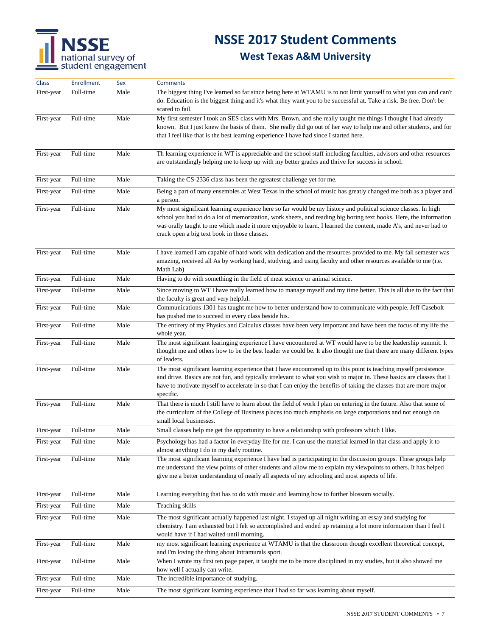## **NSSE 2017 Student Comments**

| Class      | <b>Enrollment</b> | Sex  | <b>Comments</b>                                                                                                                                                                                                                                                                                                                                                                                         |
|------------|-------------------|------|---------------------------------------------------------------------------------------------------------------------------------------------------------------------------------------------------------------------------------------------------------------------------------------------------------------------------------------------------------------------------------------------------------|
| First-year | Full-time         | Male | The biggest thing I've learned so far since being here at WTAMU is to not limit yourself to what you can and can't<br>do. Education is the biggest thing and it's what they want you to be successful at. Take a risk. Be free. Don't be<br>scared to fail.                                                                                                                                             |
| First-year | Full-time         | Male | My first semester I took an SES class with Mrs. Brown, and she really taught me things I thought I had already<br>known. But I just knew the basis of them. She really did go out of her way to help me and other students, and for<br>that I feel like that is the best learning experience I have had since I started here.                                                                           |
| First-year | Full-time         | Male | Th learning experience in WT is appreciable and the school staff including faculties, advisors and other resources<br>are outstandingly helping me to keep up with my better grades and thrive for success in school.                                                                                                                                                                                   |
| First-year | Full-time         | Male | Taking the CS-2336 class has been the rgreatest challenge yet for me.                                                                                                                                                                                                                                                                                                                                   |
| First-year | Full-time         | Male | Being a part of many ensembles at West Texas in the school of music has greatly changed me both as a player and<br>a person.                                                                                                                                                                                                                                                                            |
| First-year | Full-time         | Male | My most significant learning experience here so far would be my history and political science classes. In high<br>school you had to do a lot of memorization, work sheets, and reading big boring text books. Here, the information<br>was orally taught to me which made it more enjoyable to learn. I learned the content, made A's, and never had to<br>crack open a big text book in those classes. |
| First-year | Full-time         | Male | I have learned I am capable of hard work with dedication and the resources provided to me. My fall semester was<br>amazing, received all As by working hard, studying, and using faculty and other resources available to me (i.e.<br>Math Lab)                                                                                                                                                         |
| First-year | Full-time         | Male | Having to do with something in the field of meat science or animal science.                                                                                                                                                                                                                                                                                                                             |
| First-year | Full-time         | Male | Since moving to WT I have really learned how to manage myself and my time better. This is all due to the fact that<br>the faculty is great and very helpful.                                                                                                                                                                                                                                            |
| First-year | Full-time         | Male | Communications 1301 has taught me how to better understand how to communicate with people. Jeff Casebolt<br>has pushed me to succeed in every class beside his.                                                                                                                                                                                                                                         |
| First-year | Full-time         | Male | The entirety of my Physics and Calculus classes have been very important and have been the focus of my life the<br>whole year.                                                                                                                                                                                                                                                                          |
| First-year | Full-time         | Male | The most significant learinging experience I have encountered at WT would have to be the leadership summit. It<br>thought me and others how to be the best leader we could be. It also thought me that there are many different types<br>of leaders.                                                                                                                                                    |
| First-year | Full-time         | Male | The most significant learning experience that I have encountered up to this point is teaching myself persistence<br>and drive. Basics are not fun, and typically irrelevant to what you wish to major in. These basics are classes that I<br>have to motivate myself to accelerate in so that I can enjoy the benefits of taking the classes that are more major<br>specific.                           |
| First-year | Full-time         | Male | That there is much I still have to learn about the field of work I plan on entering in the future. Also that some of<br>the curriculum of the College of Business places too much emphasis on large corporations and not enough on<br>small local businesses.                                                                                                                                           |
| First-year | Full-time         | Male | Small classes help me get the opportunity to have a relationship with professors which I like.                                                                                                                                                                                                                                                                                                          |
| First-year | Full-time         | Male | Psychology has had a factor in everyday life for me. I can use the material learned in that class and apply it to<br>almost anything I do in my daily routine.                                                                                                                                                                                                                                          |
| First-year | Full-time         | Male | The most significant learning experience I have had is participating in the discussion groups. These groups help<br>me understand the view points of other students and allow me to explain my viewpoints to others. It has helped<br>give me a better understanding of nearly all aspects of my schooling and most aspects of life.                                                                    |
| First-year | Full-time         | Male | Learning everything that has to do with music and learning how to further blossom socially.                                                                                                                                                                                                                                                                                                             |
| First-year | Full-time         | Male | Teaching skills                                                                                                                                                                                                                                                                                                                                                                                         |
| First-year | Full-time         | Male | The most significant actually happened last night. I stayed up all night writing an essay and studying for<br>chemistry. I am exhausted but I felt so accomplished and ended up retaining a lot more information than I feel I<br>would have if I had waited until morning.                                                                                                                             |
| First-year | Full-time         | Male | my most significant learning experience at WTAMU is that the classroom though excellent theoretical concept,<br>and I'm loving the thing about Intramurals sport.                                                                                                                                                                                                                                       |
| First-year | Full-time         | Male | When I wrote my first ten page paper, it taught me to be more disciplined in my studies, but it also showed me<br>how well I actually can write.                                                                                                                                                                                                                                                        |
| First-year | Full-time         | Male | The incredible importance of studying.                                                                                                                                                                                                                                                                                                                                                                  |
| First-year | Full-time         | Male | The most significant learning experience that I had so far was learning about myself.                                                                                                                                                                                                                                                                                                                   |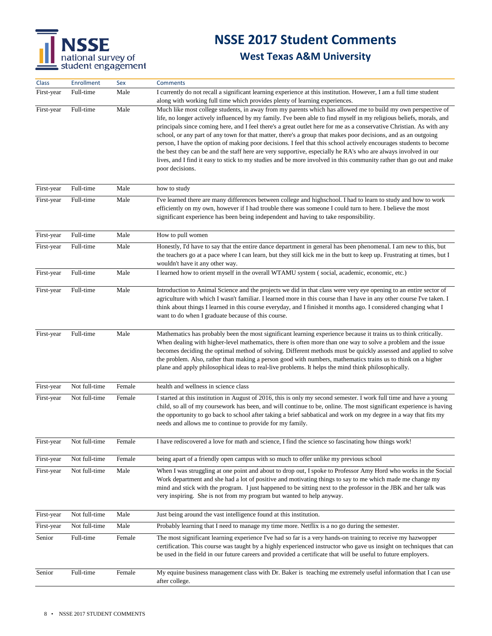

| Class             | Enrollment    | Sex    | <b>Comments</b>                                                                                                                                                                                                                                                                                                                                                                                                                                                                                                                                                                                                                                                                                                                                                                                                                                                  |
|-------------------|---------------|--------|------------------------------------------------------------------------------------------------------------------------------------------------------------------------------------------------------------------------------------------------------------------------------------------------------------------------------------------------------------------------------------------------------------------------------------------------------------------------------------------------------------------------------------------------------------------------------------------------------------------------------------------------------------------------------------------------------------------------------------------------------------------------------------------------------------------------------------------------------------------|
| First-year        | Full-time     | Male   | I currently do not recall a significant learning experience at this institution. However, I am a full time student<br>along with working full time which provides plenty of learning experiences.                                                                                                                                                                                                                                                                                                                                                                                                                                                                                                                                                                                                                                                                |
| First-year        | Full-time     | Male   | Much like most college students, in away from my parents which has allowed me to build my own perspective of<br>life, no longer actively influenced by my family. I've been able to find myself in my religious beliefs, morals, and<br>principals since coming here, and I feel there's a great outlet here for me as a conservative Christian. As with any<br>school, or any part of any town for that matter, there's a group that makes poor decisions, and as an outgoing<br>person, I have the option of making poor decisions. I feel that this school actively encourages students to become<br>the best they can be and the staff here are very supportive, especially he RA's who are always involved in our<br>lives, and I find it easy to stick to my studies and be more involved in this community rather than go out and make<br>poor decisions. |
| First-year        | Full-time     | Male   | how to study                                                                                                                                                                                                                                                                                                                                                                                                                                                                                                                                                                                                                                                                                                                                                                                                                                                     |
| First-year        | Full-time     | Male   | I've learned there are many differences between college and highschool. I had to learn to study and how to work<br>efficiently on my own, however if I had trouble there was someone I could turn to here. I believe the most<br>significant experience has been being independent and having to take responsibility.                                                                                                                                                                                                                                                                                                                                                                                                                                                                                                                                            |
| First-year        | Full-time     | Male   | How to pull women                                                                                                                                                                                                                                                                                                                                                                                                                                                                                                                                                                                                                                                                                                                                                                                                                                                |
| First-year        | Full-time     | Male   | Honestly, I'd have to say that the entire dance department in general has been phenomenal. I am new to this, but<br>the teachers go at a pace where I can learn, but they still kick me in the butt to keep up. Frustrating at times, but I<br>wouldn't have it any other way.                                                                                                                                                                                                                                                                                                                                                                                                                                                                                                                                                                                   |
| First-year        | Full-time     | Male   | I learned how to orient myself in the overall WTAMU system (social, academic, economic, etc.)                                                                                                                                                                                                                                                                                                                                                                                                                                                                                                                                                                                                                                                                                                                                                                    |
| First-year        | Full-time     | Male   | Introduction to Animal Science and the projects we did in that class were very eye opening to an entire sector of<br>agriculture with which I wasn't familiar. I learned more in this course than I have in any other course I've taken. I<br>think about things I learned in this course everyday, and I finished it months ago. I considered changing what I<br>want to do when I graduate because of this course.                                                                                                                                                                                                                                                                                                                                                                                                                                             |
| First-year        | Full-time     | Male   | Mathematics has probably been the most significant learning experience because it trains us to think critically.<br>When dealing with higher-level mathematics, there is often more than one way to solve a problem and the issue<br>becomes deciding the optimal method of solving. Different methods must be quickly assessed and applied to solve<br>the problem. Also, rather than making a person good with numbers, mathematics trains us to think on a higher<br>plane and apply philosophical ideas to real-live problems. It helps the mind think philosophically.                                                                                                                                                                                                                                                                                      |
| First-year        | Not full-time | Female | health and wellness in science class                                                                                                                                                                                                                                                                                                                                                                                                                                                                                                                                                                                                                                                                                                                                                                                                                             |
| First-year        | Not full-time | Female | I started at this institution in August of 2016, this is only my second semester. I work full time and have a young<br>child, so all of my coursework has been, and will continue to be, online. The most significant experience is having<br>the opportunity to go back to school after taking a brief sabbatical and work on my degree in a way that fits my<br>needs and allows me to continue to provide for my family.                                                                                                                                                                                                                                                                                                                                                                                                                                      |
| <b>First-year</b> | Not full-time | Female | I have rediscovered a love for math and science, I find the science so fascinating how things work!                                                                                                                                                                                                                                                                                                                                                                                                                                                                                                                                                                                                                                                                                                                                                              |
| First-year        | Not full-time | Female | being apart of a friendly open campus with so much to offer unlike my previous school                                                                                                                                                                                                                                                                                                                                                                                                                                                                                                                                                                                                                                                                                                                                                                            |
| First-year        | Not full-time | Male   | When I was struggling at one point and about to drop out, I spoke to Professor Amy Hord who works in the Social<br>Work department and she had a lot of positive and motivating things to say to me which made me change my<br>mind and stick with the program. I just happened to be sitting next to the professor in the JBK and her talk was<br>very inspiring. She is not from my program but wanted to help anyway.                                                                                                                                                                                                                                                                                                                                                                                                                                         |
| First-year        | Not full-time | Male   | Just being around the vast intelligence found at this institution.                                                                                                                                                                                                                                                                                                                                                                                                                                                                                                                                                                                                                                                                                                                                                                                               |
| First-year        | Not full-time | Male   | Probably learning that I need to manage my time more. Netflix is a no go during the semester.                                                                                                                                                                                                                                                                                                                                                                                                                                                                                                                                                                                                                                                                                                                                                                    |
| Senior            | Full-time     | Female | The most significant learning experience I've had so far is a very hands-on training to receive my hazwopper<br>certification. This course was taught by a highly experienced instructor who gave us insight on techniques that can<br>be used in the field in our future careers and provided a certificate that will be useful to future employers.                                                                                                                                                                                                                                                                                                                                                                                                                                                                                                            |
| Senior            | Full-time     | Female | My equine business management class with Dr. Baker is teaching me extremely useful information that I can use<br>after college.                                                                                                                                                                                                                                                                                                                                                                                                                                                                                                                                                                                                                                                                                                                                  |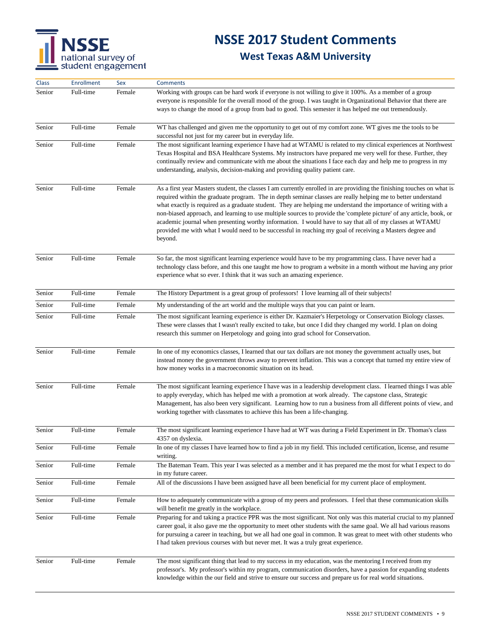### **NSSE 2017 Student Comments**

| Class  | <b>Enrollment</b> | Sex    | <b>Comments</b>                                                                                                                                                                                                                                                                                                                                                                                                                                                                                                                                                                                                                                                                                                        |
|--------|-------------------|--------|------------------------------------------------------------------------------------------------------------------------------------------------------------------------------------------------------------------------------------------------------------------------------------------------------------------------------------------------------------------------------------------------------------------------------------------------------------------------------------------------------------------------------------------------------------------------------------------------------------------------------------------------------------------------------------------------------------------------|
| Senior | Full-time         | Female | Working with groups can be hard work if everyone is not willing to give it 100%. As a member of a group<br>everyone is responsible for the overall mood of the group. I was taught in Organizational Behavior that there are<br>ways to change the mood of a group from bad to good. This semester it has helped me out tremendously.                                                                                                                                                                                                                                                                                                                                                                                  |
| Senior | Full-time         | Female | WT has challenged and given me the opportunity to get out of my comfort zone. WT gives me the tools to be<br>successful not just for my career but in everyday life.                                                                                                                                                                                                                                                                                                                                                                                                                                                                                                                                                   |
| Senior | Full-time         | Female | The most significant learning experience I have had at WTAMU is related to my clinical experiences at Northwest<br>Texas Hospital and BSA Healthcare Systems. My instructors have prepared me very well for these. Further, they<br>continually review and communicate with me about the situations I face each day and help me to progress in my<br>understanding, analysis, decision-making and providing quality patient care.                                                                                                                                                                                                                                                                                      |
| Senior | Full-time         | Female | As a first year Masters student, the classes I am currently enrolled in are providing the finishing touches on what is<br>required within the graduate program. The in depth seminar classes are really helping me to better understand<br>what exactly is required as a graduate student. They are helping me understand the importance of writing with a<br>non-biased approach, and learning to use multiple sources to provide the 'complete picture' of any article, book, or<br>academic journal when presenting worthy information. I would have to say that all of my classes at WTAMU<br>provided me with what I would need to be successful in reaching my goal of receiving a Masters degree and<br>beyond. |
| Senior | Full-time         | Female | So far, the most significant learning experience would have to be my programming class. I have never had a<br>technology class before, and this one taught me how to program a website in a month without me having any prior<br>experience what so ever. I think that it was such an amazing experience.                                                                                                                                                                                                                                                                                                                                                                                                              |
| Senior | Full-time         | Female | The History Department is a great group of professors! I love learning all of their subjects!                                                                                                                                                                                                                                                                                                                                                                                                                                                                                                                                                                                                                          |
| Senior | Full-time         | Female | My understanding of the art world and the multiple ways that you can paint or learn.                                                                                                                                                                                                                                                                                                                                                                                                                                                                                                                                                                                                                                   |
| Senior | Full-time         | Female | The most significant learning experience is either Dr. Kazmaier's Herpetology or Conservation Biology classes.<br>These were classes that I wasn't really excited to take, but once I did they changed my world. I plan on doing<br>research this summer on Herpetology and going into grad school for Conservation.                                                                                                                                                                                                                                                                                                                                                                                                   |
| Senior | Full-time         | Female | In one of my economics classes, I learned that our tax dollars are not money the government actually uses, but<br>instead money the government throws away to prevent inflation. This was a concept that turned my entire view of<br>how money works in a macroeconomic situation on its head.                                                                                                                                                                                                                                                                                                                                                                                                                         |
| Senior | Full-time         | Female | The most significant learning experience I have was in a leadership development class. I learned things I was able<br>to apply everyday, which has helped me with a promotion at work already. The capstone class, Strategic<br>Management, has also been very significant. Learning how to run a business from all different points of view, and<br>working together with classmates to achieve this has been a life-changing.                                                                                                                                                                                                                                                                                        |
| Senior | Full-time         | Female | The most significant learning experience I have had at WT was during a Field Experiment in Dr. Thomas's class<br>4357 on dyslexia.                                                                                                                                                                                                                                                                                                                                                                                                                                                                                                                                                                                     |
| Senior | Full-time         | Female | In one of my classes I have learned how to find a job in my field. This included certification, license, and resume<br>writing.                                                                                                                                                                                                                                                                                                                                                                                                                                                                                                                                                                                        |
| Senior | Full-time         | Female | The Bateman Team. This year I was selected as a member and it has prepared me the most for what I expect to do<br>in my future career.                                                                                                                                                                                                                                                                                                                                                                                                                                                                                                                                                                                 |
| Senior | Full-time         | Female | All of the discussions I have been assigned have all been beneficial for my current place of employment.                                                                                                                                                                                                                                                                                                                                                                                                                                                                                                                                                                                                               |
| Senior | Full-time         | Female | How to adequately communicate with a group of my peers and professors. I feel that these communication skills<br>will benefit me greatly in the workplace.                                                                                                                                                                                                                                                                                                                                                                                                                                                                                                                                                             |
| Senior | Full-time         | Female | Preparing for and taking a practice PPR was the most significant. Not only was this material crucial to my planned<br>career goal, it also gave me the opportunity to meet other students with the same goal. We all had various reasons<br>for pursuing a career in teaching, but we all had one goal in common. It was great to meet with other students who<br>I had taken previous courses with but never met. It was a truly great experience.                                                                                                                                                                                                                                                                    |
| Senior | Full-time         | Female | The most significant thing that lead to my success in my education, was the mentoring I received from my<br>professor's. My professor's within my program, communication disorders, have a passion for expanding students<br>knowledge within the our field and strive to ensure our success and prepare us for real world situations.                                                                                                                                                                                                                                                                                                                                                                                 |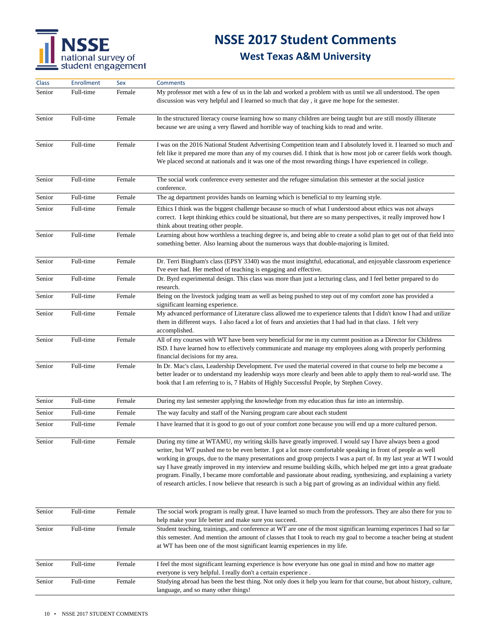## **NSSE 2017 Student Comments**

| <b>Class</b> | Enrollment | Sex    | <b>Comments</b>                                                                                                                                                                                                                                                                                                                                                                                                                                                                                                                                                                                                                                                                                              |
|--------------|------------|--------|--------------------------------------------------------------------------------------------------------------------------------------------------------------------------------------------------------------------------------------------------------------------------------------------------------------------------------------------------------------------------------------------------------------------------------------------------------------------------------------------------------------------------------------------------------------------------------------------------------------------------------------------------------------------------------------------------------------|
| Senior       | Full-time  | Female | My professor met with a few of us in the lab and worked a problem with us until we all understood. The open<br>discussion was very helpful and I learned so much that day, it gave me hope for the semester.                                                                                                                                                                                                                                                                                                                                                                                                                                                                                                 |
| Senior       | Full-time  | Female | In the structured literacy course learning how so many children are being taught but are still mostly illiterate<br>because we are using a very flawed and horrible way of teaching kids to read and write.                                                                                                                                                                                                                                                                                                                                                                                                                                                                                                  |
| Senior       | Full-time  | Female | I was on the 2016 National Student Advertising Competition team and I absolutely loved it. I learned so much and<br>felt like it prepared me more than any of my courses did. I think that is how most job or career fields work though.<br>We placed second at nationals and it was one of the most rewarding things I have experienced in college.                                                                                                                                                                                                                                                                                                                                                         |
| Senior       | Full-time  | Female | The social work conference every semester and the refugee simulation this semester at the social justice<br>conference.                                                                                                                                                                                                                                                                                                                                                                                                                                                                                                                                                                                      |
| Senior       | Full-time  | Female | The ag department provides hands on learning which is beneficial to my learning style.                                                                                                                                                                                                                                                                                                                                                                                                                                                                                                                                                                                                                       |
| Senior       | Full-time  | Female | Ethics I think was the biggest challenge because so much of what I understood about ethics was not always<br>correct. I kept thinking ethics could be situational, but there are so many perspectives, it really improved how I<br>think about treating other people.                                                                                                                                                                                                                                                                                                                                                                                                                                        |
| Senior       | Full-time  | Female | Learning about how worthless a teaching degree is, and being able to create a solid plan to get out of that field into<br>something better. Also learning about the numerous ways that double-majoring is limited.                                                                                                                                                                                                                                                                                                                                                                                                                                                                                           |
| Senior       | Full-time  | Female | Dr. Terri Bingham's class (EPSY 3340) was the must insightful, educational, and enjoyable classroom experience<br>I've ever had. Her method of teaching is engaging and effective.                                                                                                                                                                                                                                                                                                                                                                                                                                                                                                                           |
| Senior       | Full-time  | Female | Dr. Byrd experimental design. This class was more than just a lecturing class, and I feel better prepared to do<br>research.                                                                                                                                                                                                                                                                                                                                                                                                                                                                                                                                                                                 |
| Senior       | Full-time  | Female | Being on the livestock judging team as well as being pushed to step out of my comfort zone has provided a<br>significant learning experience.                                                                                                                                                                                                                                                                                                                                                                                                                                                                                                                                                                |
| Senior       | Full-time  | Female | My advanced performance of Literature class allowed me to experience talents that I didn't know I had and utilize<br>them in different ways. I also faced a lot of fears and anxieties that I had had in that class. I felt very<br>accomplished.                                                                                                                                                                                                                                                                                                                                                                                                                                                            |
| Senior       | Full-time  | Female | All of my courses with WT have been very beneficial for me in my current position as a Director for Childress<br>ISD. I have learned how to effectively communicate and manage my employees along with properly performing<br>financial decisions for my area.                                                                                                                                                                                                                                                                                                                                                                                                                                               |
| Senior       | Full-time  | Female | In Dr. Mac's class, Leadership Development. I've used the material covered in that course to help me become a<br>better leader or to understand my leadership ways more clearly and been able to apply them to real-world use. The<br>book that I am referring to is, 7 Habits of Highly Successful People, by Stephen Covey.                                                                                                                                                                                                                                                                                                                                                                                |
| Senior       | Full-time  | Female | During my last semester applying the knowledge from my education thus far into an internship.                                                                                                                                                                                                                                                                                                                                                                                                                                                                                                                                                                                                                |
| Senior       | Full-time  | Female | The way faculty and staff of the Nursing program care about each student                                                                                                                                                                                                                                                                                                                                                                                                                                                                                                                                                                                                                                     |
| Senior       | Full-time  | Female | I have learned that it is good to go out of your comfort zone because you will end up a more cultured person.                                                                                                                                                                                                                                                                                                                                                                                                                                                                                                                                                                                                |
| Senior       | Full-time  | Female | During my time at WTAMU, my writing skills have greatly improved. I would say I have always been a good<br>writer, but WT pushed me to be even better. I got a lot more comfortable speaking in front of people as well<br>working in groups, due to the many presentations and group projects I was a part of. In my last year at WT I would<br>say I have greatly improved in my interview and resume building skills, which helped me get into a great graduate<br>program. Finally, I became more comfortable and passionate about reading, synthesizing, and explaining a variety<br>of research articles. I now believe that research is such a big part of growing as an individual within any field. |
| Senior       | Full-time  | Female | The social work program is really great. I have learned so much from the professors. They are also there for you to<br>help make your life better and make sure you succeed.                                                                                                                                                                                                                                                                                                                                                                                                                                                                                                                                 |
| Senior       | Full-time  | Female | Student teaching, trainings, and conference at WT are one of the most significan learnimg experinces I had so far<br>this semester. And mention the amount of classes that I took to reach my goal to become a teacher being at student<br>at WT has been one of the most significant learnig experiences in my life.                                                                                                                                                                                                                                                                                                                                                                                        |
| Senior       | Full-time  | Female | I feel the most significant learning experience is how everyone has one goal in mind and how no matter age<br>everyone is very helpful. I really don't a certain experience.                                                                                                                                                                                                                                                                                                                                                                                                                                                                                                                                 |
| Senior       | Full-time  | Female | Studying abroad has been the best thing. Not only does it help you learn for that course, but about history, culture,<br>language, and so many other things!                                                                                                                                                                                                                                                                                                                                                                                                                                                                                                                                                 |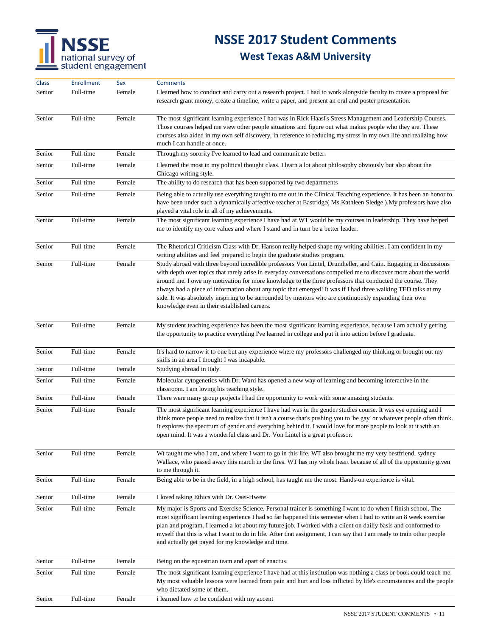## **NSSE 2017 Student Comments**

| <b>Class</b> | <b>Enrollment</b> | Sex    | <b>Comments</b>                                                                                                                                                                                                                                                                                                                                                                                                                                                                                                                                                                                                            |
|--------------|-------------------|--------|----------------------------------------------------------------------------------------------------------------------------------------------------------------------------------------------------------------------------------------------------------------------------------------------------------------------------------------------------------------------------------------------------------------------------------------------------------------------------------------------------------------------------------------------------------------------------------------------------------------------------|
| Senior       | Full-time         | Female | I learned how to conduct and carry out a research project. I had to work alongside faculty to create a proposal for<br>research grant money, create a timeline, write a paper, and present an oral and poster presentation.                                                                                                                                                                                                                                                                                                                                                                                                |
| Senior       | Full-time         | Female | The most significant learning experience I had was in Rick Haasl's Stress Management and Leadership Courses.<br>Those courses helped me view other people situations and figure out what makes people who they are. These<br>courses also aided in my own self discovery, in reference to reducing my stress in my own life and realizing how<br>much I can handle at once.                                                                                                                                                                                                                                                |
| Senior       | Full-time         | Female | Through my sorority I've learned to lead and communicate better.                                                                                                                                                                                                                                                                                                                                                                                                                                                                                                                                                           |
| Senior       | Full-time         | Female | I learned the most in my political thought class. I learn a lot about philosophy obviously but also about the<br>Chicago writing style.                                                                                                                                                                                                                                                                                                                                                                                                                                                                                    |
| Senior       | Full-time         | Female | The ability to do research that has been supported by two departments                                                                                                                                                                                                                                                                                                                                                                                                                                                                                                                                                      |
| Senior       | Full-time         | Female | Being able to actually use everything taught to me out in the Clinical Teaching experience. It has been an honor to<br>have been under such a dynamically affective teacher at Eastridge(Ms.Kathleen Sledge). My professors have also<br>played a vital role in all of my achievements.                                                                                                                                                                                                                                                                                                                                    |
| Senior       | Full-time         | Female | The most significant learning experience I have had at WT would be my courses in leadership. They have helped<br>me to identify my core values and where I stand and in turn be a better leader.                                                                                                                                                                                                                                                                                                                                                                                                                           |
| Senior       | Full-time         | Female | The Rhetorical Criticism Class with Dr. Hanson really helped shape my writing abilities. I am confident in my<br>writing abilities and feel prepared to begin the graduate studies program.                                                                                                                                                                                                                                                                                                                                                                                                                                |
| Senior       | Full-time         | Female | Study abroad with three beyond incredible professors Von Lintel, Drumheller, and Cain. Engaging in discussions<br>with depth over topics that rarely arise in everyday conversations compelled me to discover more about the world<br>around me. I owe my motivation for more knowledge to the three professors that conducted the course. They<br>always had a piece of information about any topic that emerged! It was if I had three walking TED talks at my<br>side. It was absolutely inspiring to be surrounded by mentors who are continuously expanding their own<br>knowledge even in their established careers. |
| Senior       | Full-time         | Female | My student teaching experience has been the most significant learning experience, because I am actually getting<br>the opportunity to practice everything I've learned in college and put it into action before I graduate.                                                                                                                                                                                                                                                                                                                                                                                                |
| Senior       | Full-time         | Female | It's hard to narrow it to one but any experience where my professors challenged my thinking or brought out my<br>skills in an area I thought I was incapable.                                                                                                                                                                                                                                                                                                                                                                                                                                                              |
| Senior       | Full-time         | Female | Studying abroad in Italy.                                                                                                                                                                                                                                                                                                                                                                                                                                                                                                                                                                                                  |
| Senior       | Full-time         | Female | Molecular cytogenetics with Dr. Ward has opened a new way of learning and becoming interactive in the<br>classroom. I am loving his teaching style.                                                                                                                                                                                                                                                                                                                                                                                                                                                                        |
| Senior       | Full-time         | Female | There were many group projects I had the opportunity to work with some amazing students.                                                                                                                                                                                                                                                                                                                                                                                                                                                                                                                                   |
| Senior       | Full-time         | Female | The most significant learning experience I have had was in the gender studies course. It was eye opening and I<br>think more people need to realize that it isn't a course that's pushing you to 'be gay' or whatever people often think.<br>It explores the spectrum of gender and everything behind it. I would love for more people to look at it with an<br>open mind. It was a wonderful class and Dr. Von Lintel is a great professor.                                                                                                                                                                               |
| Senior       | Full-time         | Female | Wt taught me who I am, and where I want to go in this life. WT also brought me my very bestfriend, sydney<br>Wallace, who passed away this march in the fires. WT has my whole heart because of all of the opportunity given<br>to me through it.                                                                                                                                                                                                                                                                                                                                                                          |
| Senior       | Full-time         | Female | Being able to be in the field, in a high school, has taught me the most. Hands-on experience is vital.                                                                                                                                                                                                                                                                                                                                                                                                                                                                                                                     |
| Senior       | Full-time         | Female | I loved taking Ethics with Dr. Osei-Hwere                                                                                                                                                                                                                                                                                                                                                                                                                                                                                                                                                                                  |
| Senior       | Full-time         | Female | My major is Sports and Exercise Science. Personal trainer is something I want to do when I finish school. The<br>most significant learning experience I had so far happened this semester when I had to write an 8 week exercise<br>plan and program. I learned a lot about my future job. I worked with a client on dailiy basis and conformed to<br>myself that this is what I want to do in life. After that assignment, I can say that I am ready to train other people<br>and actually get payed for my knowledge and time.                                                                                           |
| Senior       | Full-time         | Female | Being on the equestrian team and apart of enactus.                                                                                                                                                                                                                                                                                                                                                                                                                                                                                                                                                                         |
| Senior       | Full-time         | Female | The most significant learning experience I have had at this institution was nothing a class or book could teach me.<br>My most valuable lessons were learned from pain and hurt and loss inflicted by life's circumstances and the people<br>who dictated some of them.                                                                                                                                                                                                                                                                                                                                                    |
| Senior       | Full-time         | Female | i learned how to be confident with my accent                                                                                                                                                                                                                                                                                                                                                                                                                                                                                                                                                                               |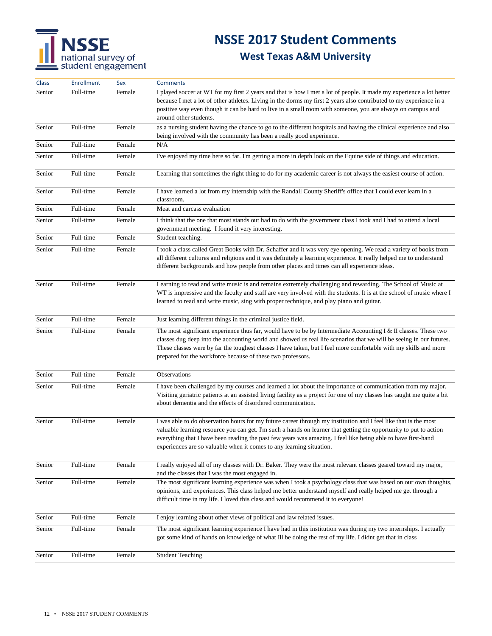## **NSSE 2017 Student Comments**

| <b>Class</b> | Enrollment | Sex    | <b>Comments</b>                                                                                                                                                                                                                                                                                                                                                                                                               |
|--------------|------------|--------|-------------------------------------------------------------------------------------------------------------------------------------------------------------------------------------------------------------------------------------------------------------------------------------------------------------------------------------------------------------------------------------------------------------------------------|
| Senior       | Full-time  | Female | I played soccer at WT for my first 2 years and that is how I met a lot of people. It made my experience a lot better<br>because I met a lot of other athletes. Living in the dorms my first 2 years also contributed to my experience in a<br>positive way even though it can be hard to live in a small room with someone, you are always on campus and<br>around other students.                                            |
| Senior       | Full-time  | Female | as a nursing student having the chance to go to the different hospitals and having the clinical experience and also<br>being involved with the community has been a really good experience.                                                                                                                                                                                                                                   |
| Senior       | Full-time  | Female | N/A                                                                                                                                                                                                                                                                                                                                                                                                                           |
| Senior       | Full-time  | Female | I've enjoyed my time here so far. I'm getting a more in depth look on the Equine side of things and education.                                                                                                                                                                                                                                                                                                                |
| Senior       | Full-time  | Female | Learning that sometimes the right thing to do for my academic career is not always the easiest course of action.                                                                                                                                                                                                                                                                                                              |
| Senior       | Full-time  | Female | I have learned a lot from my internship with the Randall County Sheriff's office that I could ever learn in a<br>classroom.                                                                                                                                                                                                                                                                                                   |
| Senior       | Full-time  | Female | Meat and carcass evaluation                                                                                                                                                                                                                                                                                                                                                                                                   |
| Senior       | Full-time  | Female | I think that the one that most stands out had to do with the government class I took and I had to attend a local<br>government meeting. I found it very interesting.                                                                                                                                                                                                                                                          |
| Senior       | Full-time  | Female | Student teaching.                                                                                                                                                                                                                                                                                                                                                                                                             |
| Senior       | Full-time  | Female | I took a class called Great Books with Dr. Schaffer and it was very eye opening. We read a variety of books from<br>all different cultures and religions and it was definitely a learning experience. It really helped me to understand<br>different backgrounds and how people from other places and times can all experience ideas.                                                                                         |
| Senior       | Full-time  | Female | Learning to read and write music is and remains extremely challenging and rewarding. The School of Music at<br>WT is impressive and the faculty and staff are very involved with the students. It is at the school of music where I<br>learned to read and write music, sing with proper technique, and play piano and guitar.                                                                                                |
| Senior       | Full-time  | Female | Just learning different things in the criminal justice field.                                                                                                                                                                                                                                                                                                                                                                 |
| Senior       | Full-time  | Female | The most significant experience thus far, would have to be by Intermediate Accounting I $\&$ II classes. These two<br>classes dug deep into the accounting world and showed us real life scenarios that we will be seeing in our futures.<br>These classes were by far the toughest classes I have taken, but I feel more comfortable with my skills and more<br>prepared for the workforce because of these two professors.  |
| Senior       | Full-time  | Female | Observations                                                                                                                                                                                                                                                                                                                                                                                                                  |
| Senior       | Full-time  | Female | I have been challenged by my courses and learned a lot about the importance of communication from my major.<br>Visiting geriatric patients at an assisted living facility as a project for one of my classes has taught me quite a bit<br>about dementia and the effects of disordered communication.                                                                                                                         |
| Senior       | Full-time  | Female | I was able to do observation hours for my future career through my institution and I feel like that is the most<br>valuable learning resource you can get. I'm such a hands on learner that getting the opportunity to put to action<br>everything that I have been reading the past few years was amazing. I feel like being able to have first-hand<br>experiences are so valuable when it comes to any learning situation. |
| Senior       | Full-time  | Female | I really enjoyed all of my classes with Dr. Baker. They were the most relevant classes geared toward my major,<br>and the classes that I was the most engaged in.                                                                                                                                                                                                                                                             |
| Senior       | Full-time  | Female | The most significant learning experience was when I took a psychology class that was based on our own thoughts,<br>opinions, and experiences. This class helped me better understand myself and really helped me get through a<br>difficult time in my life. I loved this class and would recommend it to everyone!                                                                                                           |
| Senior       | Full-time  | Female | I enjoy learning about other views of political and law related issues.                                                                                                                                                                                                                                                                                                                                                       |
| Senior       | Full-time  | Female | The most significant learning experience I have had in this institution was during my two internships. I actually<br>got some kind of hands on knowledge of what Ill be doing the rest of my life. I didnt get that in class                                                                                                                                                                                                  |
| Senior       | Full-time  | Female | <b>Student Teaching</b>                                                                                                                                                                                                                                                                                                                                                                                                       |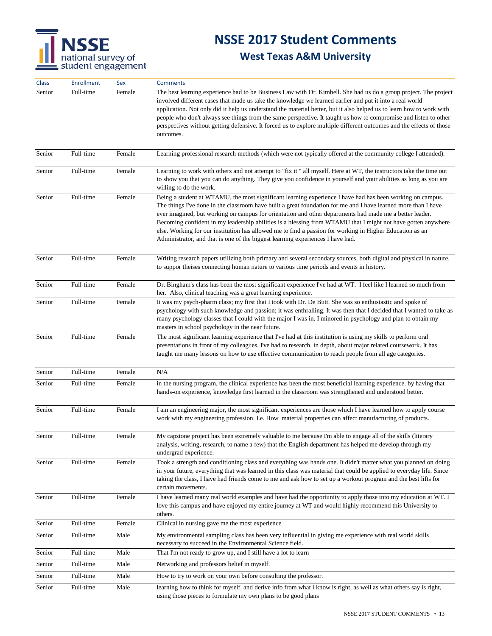

| Class  | <b>Enrollment</b> | Sex    | <b>Comments</b>                                                                                                                                                                                                                                                                                                                                                                                                                                                                                                                                                                                                                                      |
|--------|-------------------|--------|------------------------------------------------------------------------------------------------------------------------------------------------------------------------------------------------------------------------------------------------------------------------------------------------------------------------------------------------------------------------------------------------------------------------------------------------------------------------------------------------------------------------------------------------------------------------------------------------------------------------------------------------------|
| Senior | Full-time         | Female | The best learning experience had to be Business Law with Dr. Kimbell. She had us do a group project. The project<br>involved different cases that made us take the knowledge we learned earlier and put it into a real world<br>application. Not only did it help us understand the material better, but it also helped us to learn how to work with<br>people who don't always see things from the same perspective. It taught us how to compromise and listen to other<br>perspectives without getting defensive. It forced us to explore multiple different outcomes and the effects of those<br>outcomes.                                        |
| Senior | Full-time         | Female | Learning professional research methods (which were not typically offered at the community college I attended).                                                                                                                                                                                                                                                                                                                                                                                                                                                                                                                                       |
| Senior | Full-time         | Female | Learning to work with others and not attempt to "fix it" all myself. Here at WT, the instructors take the time out<br>to show you that you can do anything. They give you confidence in yourself and your abilities as long as you are<br>willing to do the work.                                                                                                                                                                                                                                                                                                                                                                                    |
| Senior | Full-time         | Female | Being a student at WTAMU, the most significant learning experience I have had has been working on campus.<br>The things I've done in the classroom have built a great foundation for me and I have learned more than I have<br>ever imagined, but working on campus for orientation and other departments had made me a better leader.<br>Becoming confident in my leadership abilities is a blessing from WTAMU that I might not have gotten anywhere<br>else. Working for our institution has allowed me to find a passion for working in Higher Education as an<br>Administrator, and that is one of the biggest learning experiences I have had. |
| Senior | Full-time         | Female | Writing research papers utilizing both primary and several secondary sources, both digital and physical in nature,<br>to suppor theises connecting human nature to various time periods and events in history.                                                                                                                                                                                                                                                                                                                                                                                                                                       |
| Senior | Full-time         | Female | Dr. Bingham's class has been the most significant experience I've had at WT. I feel like I learned so much from<br>her. Also, clinical teaching was a great learning experience.                                                                                                                                                                                                                                                                                                                                                                                                                                                                     |
| Senior | Full-time         | Female | It was my psych-pharm class; my first that I took with Dr. De Butt. She was so enthusiastic and spoke of<br>psychology with such knowledge and passion; it was enthralling. It was then that I decided that I wanted to take as<br>many psychology classes that I could with the major I was in. I minored in psychology and plan to obtain my<br>masters in school psychology in the near future.                                                                                                                                                                                                                                                   |
| Senior | Full-time         | Female | The most significant learning experience that I've had at this institution is using my skills to perform oral<br>presentations in front of my colleagues. I've had to research, in depth, about major related coursework. It has<br>taught me many lessons on how to use effective communication to reach people from all age categories.                                                                                                                                                                                                                                                                                                            |
| Senior | Full-time         | Female | N/A                                                                                                                                                                                                                                                                                                                                                                                                                                                                                                                                                                                                                                                  |
| Senior | Full-time         | Female | in the nursing program, the clinical experience has been the most beneficial learning experience. by having that<br>hands-on experience, knowledge first learned in the classroom was strengthened and understood better.                                                                                                                                                                                                                                                                                                                                                                                                                            |
| Senior | Full-time         | Female | I am an engineering major, the most significant experiences are those which I have learned how to apply course<br>work with my engineering profession. I.e. How material properties can affect manufacturing of products.                                                                                                                                                                                                                                                                                                                                                                                                                            |
| Senior | Full-time         | Female | My capstone project has been extremely valuable to me because I'm able to engage all of the skills (literary<br>analysis, writing, research, to name a few) that the English department has helped me develop through my<br>undergrad experience.                                                                                                                                                                                                                                                                                                                                                                                                    |
| Senior | Full-time         | Female | Took a strength and conditioning class and everything was hands one. It didn't matter what you planned on doing<br>in your future, everything that was learned in this class was material that could be applied to everyday life. Since<br>taking the class, I have had friends come to me and ask how to set up a workout program and the best lifts for<br>certain movements.                                                                                                                                                                                                                                                                      |
| Senior | Full-time         | Female | I have learned many real world examples and have had the opportunity to apply those into my education at WT. I<br>love this campus and have enjoyed my entire journey at WT and would highly recommend this University to<br>others.                                                                                                                                                                                                                                                                                                                                                                                                                 |
| Senior | Full-time         | Female | Clinical in nursing gave me the most experience                                                                                                                                                                                                                                                                                                                                                                                                                                                                                                                                                                                                      |
| Senior | Full-time         | Male   | My environmental sampling class has been very influential in giving me experience with real world skills<br>necessary to succeed in the Environmental Science field.                                                                                                                                                                                                                                                                                                                                                                                                                                                                                 |
| Senior | Full-time         | Male   | That I'm not ready to grow up, and I still have a lot to learn                                                                                                                                                                                                                                                                                                                                                                                                                                                                                                                                                                                       |
| Senior | Full-time         | Male   | Networking and professors belief in myself.                                                                                                                                                                                                                                                                                                                                                                                                                                                                                                                                                                                                          |
| Senior | Full-time         | Male   | How to try to work on your own before consulting the professor.                                                                                                                                                                                                                                                                                                                                                                                                                                                                                                                                                                                      |
| Senior | Full-time         | Male   | learning how to think for myself, and derive info from what i know is right, as well as what others say is right,<br>using those pieces to formulate my own plans to be good plans                                                                                                                                                                                                                                                                                                                                                                                                                                                                   |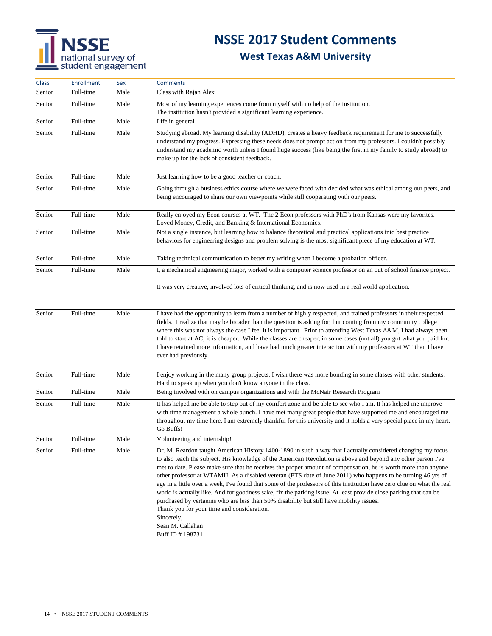## **NSSE 2017 Student Comments**

| <b>Class</b> | <b>Enrollment</b> | Sex  | <b>Comments</b>                                                                                                                                                                                                                                                                                                                                                                                                                                                                                                                                                                                                                                                                                                                                                                                                                                                                                             |  |
|--------------|-------------------|------|-------------------------------------------------------------------------------------------------------------------------------------------------------------------------------------------------------------------------------------------------------------------------------------------------------------------------------------------------------------------------------------------------------------------------------------------------------------------------------------------------------------------------------------------------------------------------------------------------------------------------------------------------------------------------------------------------------------------------------------------------------------------------------------------------------------------------------------------------------------------------------------------------------------|--|
| Senior       | Full-time         | Male | Class with Rajan Alex                                                                                                                                                                                                                                                                                                                                                                                                                                                                                                                                                                                                                                                                                                                                                                                                                                                                                       |  |
| Senior       | Full-time         | Male | Most of my learning experiences come from myself with no help of the institution.<br>The institution hasn't provided a significant learning experience.                                                                                                                                                                                                                                                                                                                                                                                                                                                                                                                                                                                                                                                                                                                                                     |  |
| Senior       | Full-time         | Male | Life in general                                                                                                                                                                                                                                                                                                                                                                                                                                                                                                                                                                                                                                                                                                                                                                                                                                                                                             |  |
| Senior       | Full-time         | Male | Studying abroad. My learning disability (ADHD), creates a heavy feedback requirement for me to successfully<br>understand my progress. Expressing these needs does not prompt action from my professors. I couldn't possibly<br>understand my academic worth unless I found huge success (like being the first in my family to study abroad) to<br>make up for the lack of consistent feedback.                                                                                                                                                                                                                                                                                                                                                                                                                                                                                                             |  |
| Senior       | Full-time         | Male | Just learning how to be a good teacher or coach.                                                                                                                                                                                                                                                                                                                                                                                                                                                                                                                                                                                                                                                                                                                                                                                                                                                            |  |
| Senior       | Full-time         | Male | Going through a business ethics course where we were faced with decided what was ethical among our peers, and<br>being encouraged to share our own viewpoints while still cooperating with our peers.                                                                                                                                                                                                                                                                                                                                                                                                                                                                                                                                                                                                                                                                                                       |  |
| Senior       | Full-time         | Male | Really enjoyed my Econ courses at WT. The 2 Econ professors with PhD's from Kansas were my favorites.<br>Loved Money, Credit, and Banking & International Economics.                                                                                                                                                                                                                                                                                                                                                                                                                                                                                                                                                                                                                                                                                                                                        |  |
| Senior       | Full-time         | Male | Not a single instance, but learning how to balance theoretical and practical applications into best practice<br>behaviors for engineering designs and problem solving is the most significant piece of my education at WT.                                                                                                                                                                                                                                                                                                                                                                                                                                                                                                                                                                                                                                                                                  |  |
| Senior       | Full-time         | Male | Taking technical communication to better my writing when I become a probation officer.                                                                                                                                                                                                                                                                                                                                                                                                                                                                                                                                                                                                                                                                                                                                                                                                                      |  |
| Senior       | Full-time         | Male | I, a mechanical engineering major, worked with a computer science professor on an out of school finance project.                                                                                                                                                                                                                                                                                                                                                                                                                                                                                                                                                                                                                                                                                                                                                                                            |  |
|              |                   |      | It was very creative, involved lots of critical thinking, and is now used in a real world application.                                                                                                                                                                                                                                                                                                                                                                                                                                                                                                                                                                                                                                                                                                                                                                                                      |  |
| Senior       | Full-time         | Male | I have had the opportunity to learn from a number of highly respected, and trained professors in their respected<br>fields. I realize that may be broader than the question is asking for, but coming from my community college<br>where this was not always the case I feel it is important. Prior to attending West Texas A&M, I had always been<br>told to start at AC, it is cheaper. While the classes are cheaper, in some cases (not all) you got what you paid for.<br>I have retained more information, and have had much greater interaction with my professors at WT than I have<br>ever had previously.                                                                                                                                                                                                                                                                                         |  |
| Senior       | Full-time         | Male | I enjoy working in the many group projects. I wish there was more bonding in some classes with other students.<br>Hard to speak up when you don't know anyone in the class.                                                                                                                                                                                                                                                                                                                                                                                                                                                                                                                                                                                                                                                                                                                                 |  |
| Senior       | Full-time         | Male | Being involved with on campus organizations and with the McNair Research Program                                                                                                                                                                                                                                                                                                                                                                                                                                                                                                                                                                                                                                                                                                                                                                                                                            |  |
| Senior       | Full-time         | Male | It has helped me be able to step out of my comfort zone and be able to see who I am. It has helped me improve<br>with time management a whole bunch. I have met many great people that have supported me and encouraged me<br>throughout my time here. I am extremely thankful for this university and it holds a very special place in my heart.<br>Go Buffs!                                                                                                                                                                                                                                                                                                                                                                                                                                                                                                                                              |  |
| Senior       | Full-time         | Male | Volunteering and internship!                                                                                                                                                                                                                                                                                                                                                                                                                                                                                                                                                                                                                                                                                                                                                                                                                                                                                |  |
| Senior       | Full-time         | Male | Dr. M. Reardon taught American History 1400-1890 in such a way that I actually considered changing my focus<br>to also teach the subject. His knowledge of the American Revolution is above and beyond any other person I've<br>met to date. Please make sure that he receives the proper amount of compensation, he is worth more than anyone<br>other professor at WTAMU. As a disabled veteran (ETS date of June 2011) who happens to be turning 46 yrs of<br>age in a little over a week, I've found that some of the professors of this institution have zero clue on what the real<br>world is actually like. And for goodness sake, fix the parking issue. At least provide close parking that can be<br>purchased by vertaerns who are less than 50% disability but still have mobility issues.<br>Thank you for your time and consideration.<br>Sincerely,<br>Sean M. Callahan<br>Buff ID # 198731 |  |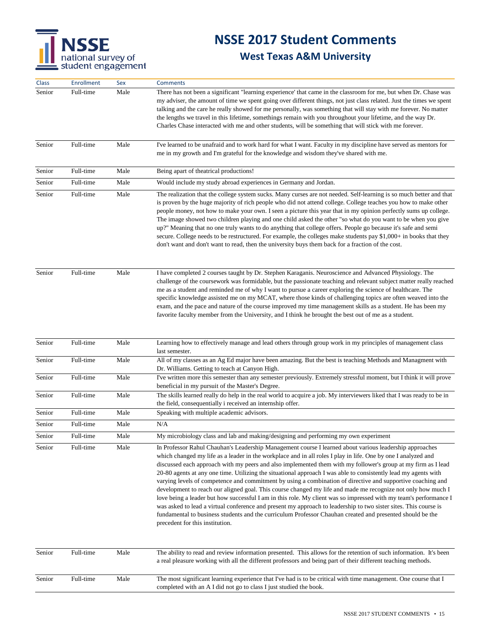

| Class  | Enrollment | Sex  | <b>Comments</b>                                                                                                                                                                                                                                                                                                                                                                                                                                                                                                                                                                                                                                                                                                                                                                                                                                                                                                                                                                                                                                                                      |  |
|--------|------------|------|--------------------------------------------------------------------------------------------------------------------------------------------------------------------------------------------------------------------------------------------------------------------------------------------------------------------------------------------------------------------------------------------------------------------------------------------------------------------------------------------------------------------------------------------------------------------------------------------------------------------------------------------------------------------------------------------------------------------------------------------------------------------------------------------------------------------------------------------------------------------------------------------------------------------------------------------------------------------------------------------------------------------------------------------------------------------------------------|--|
| Senior | Full-time  | Male | There has not been a significant "learning experience' that came in the classroom for me, but when Dr. Chase was<br>my adviser, the amount of time we spent going over different things, not just class related. Just the times we spent<br>talking and the care he really showed for me personally, was something that will stay with me forever. No matter<br>the lengths we travel in this lifetime, somethings remain with you throughout your lifetime, and the way Dr.<br>Charles Chase interacted with me and other students, will be something that will stick with me forever.                                                                                                                                                                                                                                                                                                                                                                                                                                                                                              |  |
| Senior | Full-time  | Male | I've learned to be unafraid and to work hard for what I want. Faculty in my discipline have served as mentors for<br>me in my growth and I'm grateful for the knowledge and wisdom they've shared with me.                                                                                                                                                                                                                                                                                                                                                                                                                                                                                                                                                                                                                                                                                                                                                                                                                                                                           |  |
| Senior | Full-time  | Male | Being apart of theatrical productions!                                                                                                                                                                                                                                                                                                                                                                                                                                                                                                                                                                                                                                                                                                                                                                                                                                                                                                                                                                                                                                               |  |
| Senior | Full-time  | Male | Would include my study abroad experiences in Germany and Jordan.                                                                                                                                                                                                                                                                                                                                                                                                                                                                                                                                                                                                                                                                                                                                                                                                                                                                                                                                                                                                                     |  |
| Senior | Full-time  | Male | The realization that the college system sucks. Many curses are not needed. Self-learning is so much better and that<br>is proven by the huge majority of rich people who did not attend college. College teaches you how to make other<br>people money, not how to make your own. I seen a picture this year that in my opinion perfectly sums up college.<br>The image showed two children playing and one child asked the other "so what do you want to be when you give<br>up?" Meaning that no one truly wants to do anything that college offers. People go because it's safe and semi<br>secure. College needs to be restructured. For example, the colleges make students pay \$1,000+ in books that they<br>don't want and don't want to read, then the university buys them back for a fraction of the cost.                                                                                                                                                                                                                                                                |  |
| Senior | Full-time  | Male | I have completed 2 courses taught by Dr. Stephen Karaganis. Neuroscience and Advanced Physiology. The<br>challenge of the coursework was formidable, but the passionate teaching and relevant subject matter really reached<br>me as a student and reminded me of why I want to pursue a career exploring the science of healthcare. The<br>specific knowledge assisted me on my MCAT, where those kinds of challenging topics are often weaved into the<br>exam, and the pace and nature of the course improved my time management skills as a student. He has been my<br>favorite faculty member from the University, and I think he brought the best out of me as a student.                                                                                                                                                                                                                                                                                                                                                                                                      |  |
| Senior | Full-time  | Male | Learning how to effectively manage and lead others through group work in my principles of management class<br>last semester.                                                                                                                                                                                                                                                                                                                                                                                                                                                                                                                                                                                                                                                                                                                                                                                                                                                                                                                                                         |  |
| Senior | Full-time  | Male | All of my classes as an Ag Ed major have been amazing. But the best is teaching Methods and Managment with<br>Dr. Williams. Getting to teach at Canyon High.                                                                                                                                                                                                                                                                                                                                                                                                                                                                                                                                                                                                                                                                                                                                                                                                                                                                                                                         |  |
| Senior | Full-time  | Male | I've written more this semester than any semester previously. Extremely stressful moment, but I think it will prove                                                                                                                                                                                                                                                                                                                                                                                                                                                                                                                                                                                                                                                                                                                                                                                                                                                                                                                                                                  |  |
|        |            |      | beneficial in my pursuit of the Master's Degree.                                                                                                                                                                                                                                                                                                                                                                                                                                                                                                                                                                                                                                                                                                                                                                                                                                                                                                                                                                                                                                     |  |
| Senior | Full-time  | Male | The skills learned really do help in the real world to acquire a job. My interviewers liked that I was ready to be in<br>the field, consequentially i received an internship offer.                                                                                                                                                                                                                                                                                                                                                                                                                                                                                                                                                                                                                                                                                                                                                                                                                                                                                                  |  |
| Senior | Full-time  | Male | Speaking with multiple academic advisors.                                                                                                                                                                                                                                                                                                                                                                                                                                                                                                                                                                                                                                                                                                                                                                                                                                                                                                                                                                                                                                            |  |
| Senior | Full-time  | Male | N/A                                                                                                                                                                                                                                                                                                                                                                                                                                                                                                                                                                                                                                                                                                                                                                                                                                                                                                                                                                                                                                                                                  |  |
| Senior | Full-time  | Male | My microbiology class and lab and making/designing and performing my own experiment                                                                                                                                                                                                                                                                                                                                                                                                                                                                                                                                                                                                                                                                                                                                                                                                                                                                                                                                                                                                  |  |
| Senior | Full-time  | Male | In Professor Rahul Chauhan's Leadership Management course I learned about various leadership approaches<br>which changed my life as a leader in the workplace and in all roles I play in life. One by one I analyzed and<br>discussed each approach with my peers and also implemented them with my follower's group at my firm as I lead<br>20-80 agents at any one time. Utilizing the situational approach I was able to consistently lead my agents with<br>varying levels of competence and commitment by using a combination of directive and supportive coaching and<br>development to reach our aligned goal. This course changed my life and made me recognize not only how much I<br>love being a leader but how successful I am in this role. My client was so impressed with my team's performance I<br>was asked to lead a virtual conference and present my approach to leadership to two sister sites. This course is<br>fundamental to business students and the curriculum Professor Chauhan created and presented should be the<br>precedent for this institution. |  |
| Senior | Full-time  | Male | The ability to read and review information presented. This allows for the retention of such information. It's been<br>a real pleasure working with all the different professors and being part of their different teaching methods.                                                                                                                                                                                                                                                                                                                                                                                                                                                                                                                                                                                                                                                                                                                                                                                                                                                  |  |
| Senior | Full-time  | Male | The most significant learning experience that I've had is to be critical with time management. One course that I<br>completed with an A I did not go to class I just studied the book.                                                                                                                                                                                                                                                                                                                                                                                                                                                                                                                                                                                                                                                                                                                                                                                                                                                                                               |  |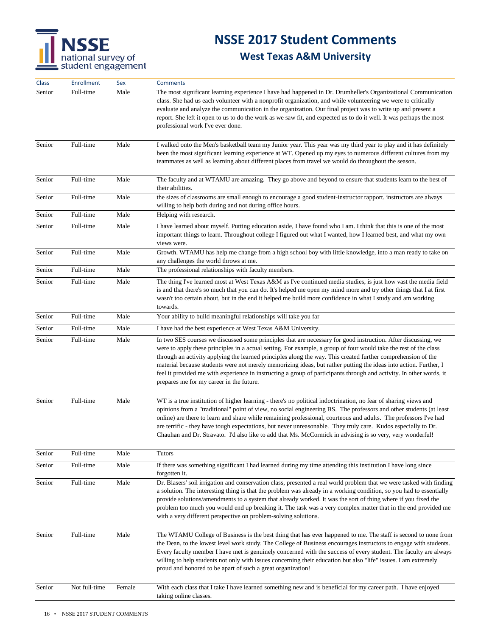

| Class  | Enrollment    | Sex    | <b>Comments</b>                                                                                                                                                                                                                                                                                                                                                                                                                                                                                                                                                                                                                           |  |
|--------|---------------|--------|-------------------------------------------------------------------------------------------------------------------------------------------------------------------------------------------------------------------------------------------------------------------------------------------------------------------------------------------------------------------------------------------------------------------------------------------------------------------------------------------------------------------------------------------------------------------------------------------------------------------------------------------|--|
| Senior | Full-time     | Male   | The most significant learning experience I have had happened in Dr. Drumheller's Organizational Communication<br>class. She had us each volunteer with a nonprofit organization, and while volunteering we were to critically<br>evaluate and analyze the communication in the organization. Our final project was to write up and present a<br>report. She left it open to us to do the work as we saw fit, and expected us to do it well. It was perhaps the most<br>professional work I've ever done.                                                                                                                                  |  |
| Senior | Full-time     | Male   | I walked onto the Men's basketball team my Junior year. This year was my third year to play and it has definitely<br>been the most significant learning experience at WT. Opened up my eyes to numerous different cultures from my<br>teammates as well as learning about different places from travel we would do throughout the season.                                                                                                                                                                                                                                                                                                 |  |
| Senior | Full-time     | Male   | The faculty and at WTAMU are amazing. They go above and beyond to ensure that students learn to the best of<br>their abilities.                                                                                                                                                                                                                                                                                                                                                                                                                                                                                                           |  |
| Senior | Full-time     | Male   | the sizes of classrooms are small enough to encourage a good student-instructor rapport. instructors are always<br>willing to help both during and not during office hours.                                                                                                                                                                                                                                                                                                                                                                                                                                                               |  |
| Senior | Full-time     | Male   | Helping with research.                                                                                                                                                                                                                                                                                                                                                                                                                                                                                                                                                                                                                    |  |
| Senior | Full-time     | Male   | I have learned about myself. Putting education aside, I have found who I am. I think that this is one of the most<br>important things to learn. Throughout college I figured out what I wanted, how I learned best, and what my own<br>views were.                                                                                                                                                                                                                                                                                                                                                                                        |  |
| Senior | Full-time     | Male   | Growth. WTAMU has help me change from a high school boy with little knowledge, into a man ready to take on<br>any challenges the world throws at me.                                                                                                                                                                                                                                                                                                                                                                                                                                                                                      |  |
| Senior | Full-time     | Male   | The professional relationships with faculty members.                                                                                                                                                                                                                                                                                                                                                                                                                                                                                                                                                                                      |  |
| Senior | Full-time     | Male   | The thing I've learned most at West Texas A&M as I've continued media studies, is just how vast the media field<br>is and that there's so much that you can do. It's helped me open my mind more and try other things that I at first<br>wasn't too certain about, but in the end it helped me build more confidence in what I study and am working<br>towards.                                                                                                                                                                                                                                                                           |  |
| Senior | Full-time     | Male   | Your ability to build meaningful relationships will take you far                                                                                                                                                                                                                                                                                                                                                                                                                                                                                                                                                                          |  |
| Senior | Full-time     | Male   | I have had the best experience at West Texas A&M University.                                                                                                                                                                                                                                                                                                                                                                                                                                                                                                                                                                              |  |
| Senior | Full-time     | Male   | In two SES courses we discussed some principles that are necessary for good instruction. After discussing, we<br>were to apply these principles in a actual setting. For example, a group of four would take the rest of the class<br>through an activity applying the learned principles along the way. This created further comprehension of the<br>material because students were not merely memorizing ideas, but rather putting the ideas into action. Further, I<br>feel it provided me with experience in instructing a group of participants through and activity. In other words, it<br>prepares me for my career in the future. |  |
| Senior | Full-time     | Male   | WT is a true institution of higher learning - there's no political indoctrination, no fear of sharing views and<br>opinions from a "traditional" point of view, no social engineering BS. The professors and other students (at least<br>online) are there to learn and share while remaining professional, courteous and adults. The professors I've had<br>are terrific - they have tough expectations, but never unreasonable. They truly care. Kudos especially to Dr.<br>Chauhan and Dr. Stravato. I'd also like to add that Ms. McCormick in advising is so very, very wonderful!                                                   |  |
| Senior | Full-time     | Male   | <b>Tutors</b>                                                                                                                                                                                                                                                                                                                                                                                                                                                                                                                                                                                                                             |  |
| Senior | Full-time     | Male   | If there was something significant I had learned during my time attending this institution I have long since<br>forgotten it.                                                                                                                                                                                                                                                                                                                                                                                                                                                                                                             |  |
| Senior | Full-time     | Male   | Dr. Blasers' soil irrigation and conservation class, presented a real world problem that we were tasked with finding<br>a solution. The interesting thing is that the problem was already in a working condition, so you had to essentially<br>provide solutions/amendments to a system that already worked. It was the sort of thing where if you fixed the<br>problem too much you would end up breaking it. The task was a very complex matter that in the end provided me<br>with a very different perspective on problem-solving solutions.                                                                                          |  |
| Senior | Full-time     | Male   | The WTAMU College of Business is the best thing that has ever happened to me. The staff is second to none from<br>the Dean, to the lowest level work study. The College of Business encourages instructors to engage with students.<br>Every faculty member I have met is genuinely concerned with the success of every student. The faculty are always<br>willing to help students not only with issues concerning their education but also "life" issues. I am extremely<br>proud and honored to be apart of such a great organization!                                                                                                 |  |
| Senior | Not full-time | Female | With each class that I take I have learned something new and is beneficial for my career path. I have enjoyed<br>taking online classes.                                                                                                                                                                                                                                                                                                                                                                                                                                                                                                   |  |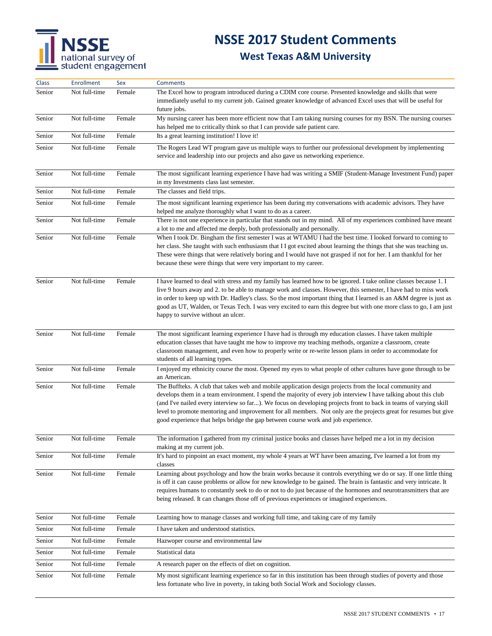## **NSSE 2017 Student Comments**

| Class  | <b>Enrollment</b> | Sex    | <b>Comments</b>                                                                                                                                                                                                                                                                                                                                                                                                                                                                                                                                          |  |
|--------|-------------------|--------|----------------------------------------------------------------------------------------------------------------------------------------------------------------------------------------------------------------------------------------------------------------------------------------------------------------------------------------------------------------------------------------------------------------------------------------------------------------------------------------------------------------------------------------------------------|--|
| Senior | Not full-time     | Female | The Excel how to program introduced during a CDIM core course. Presented knowledge and skills that were<br>immediately useful to my current job. Gained greater knowledge of advanced Excel uses that will be useful for<br>future jobs.                                                                                                                                                                                                                                                                                                                 |  |
| Senior | Not full-time     | Female | My nursing career has been more efficient now that I am taking nursing courses for my BSN. The nursing courses<br>has helped me to critically think so that I can provide safe patient care.                                                                                                                                                                                                                                                                                                                                                             |  |
| Senior | Not full-time     | Female | Its a great learning institution! I love it!                                                                                                                                                                                                                                                                                                                                                                                                                                                                                                             |  |
| Senior | Not full-time     | Female | The Rogers Lead WT program gave us multiple ways to further our professional development by implementing<br>service and leadership into our projects and also gave us networking experience.                                                                                                                                                                                                                                                                                                                                                             |  |
| Senior | Not full-time     | Female | The most significant learning experience I have had was writing a SMIF (Student-Manage Investment Fund) paper<br>in my Investments class last semester.                                                                                                                                                                                                                                                                                                                                                                                                  |  |
| Senior | Not full-time     | Female | The classes and field trips.                                                                                                                                                                                                                                                                                                                                                                                                                                                                                                                             |  |
| Senior | Not full-time     | Female | The most significant learning experience has been during my conversations with academic advisors. They have<br>helped me analyze thoroughly what I want to do as a career.                                                                                                                                                                                                                                                                                                                                                                               |  |
| Senior | Not full-time     | Female | There is not one experience in particular that stands out in my mind. All of my experiences combined have meant<br>a lot to me and affected me deeply, both professionally and personally.                                                                                                                                                                                                                                                                                                                                                               |  |
| Senior | Not full-time     | Female | When I took Dr. Bingham the first semester I was at WTAMU I had the best time. I looked forward to coming to<br>her class. She taught with such enthusiasm that I I got excited about learning the things that she was teaching us.<br>These were things that were relatively boring and I would have not grasped if not for her. I am thankful for her<br>because these were things that were very important to my career.                                                                                                                              |  |
| Senior | Not full-time     | Female | I have learned to deal with stress and my family has learned how to be ignored. I take online classes because 1. I<br>live 9 hours away and 2. to be able to manage work and classes. However, this semester, I have had to miss work<br>in order to keep up with Dr. Hadley's class. So the most important thing that I learned is an A&M degree is just as<br>good as UT, Walden, or Texas Tech. I was very excited to earn this degree but with one more class to go, I am just<br>happy to survive without an ulcer.                                 |  |
| Senior | Not full-time     | Female | The most significant learning experience I have had is through my education classes. I have taken multiple<br>education classes that have taught me how to improve my teaching methods, organize a classroom, create<br>classroom management, and even how to properly write or re-write lesson plans in order to accommodate for<br>students of all learning types.                                                                                                                                                                                     |  |
| Senior | Not full-time     | Female | I enjoyed my ethnicity course the most. Opened my eyes to what people of other cultures have gone through to be<br>an American.                                                                                                                                                                                                                                                                                                                                                                                                                          |  |
| Senior | Not full-time     | Female | The Buffteks. A club that takes web and mobile application design projects from the local community and<br>develops them in a team environment. I spend the majority of every job interview I have talking about this club<br>(and I've nailed every interview so far). We focus on developing projects front to back in teams of varying skill<br>level to promote mentoring and improvement for all members. Not only are the projects great for resumes but give<br>good experience that helps bridge the gap between course work and job experience. |  |
| Senior | Not full-time     | Female | The information I gathered from my criminal justice books and classes have helped me a lot in my decision<br>making at my current job.                                                                                                                                                                                                                                                                                                                                                                                                                   |  |
| Senior | Not full-time     | Female | It's hard to pinpoint an exact moment, my whole 4 years at WT have been amazing, I've learned a lot from my<br>classes                                                                                                                                                                                                                                                                                                                                                                                                                                   |  |
| Senior | Not full-time     | Female | Learning about psychology and how the brain works because it controls everything we do or say. If one little thing<br>is off it can cause problems or allow for new knowledge to be gained. The brain is fantastic and very intricate. It<br>requires humans to constantly seek to do or not to do just because of the hormones and neurotransmitters that are<br>being released. It can changes those off of previous experiences or imagined experiences.                                                                                              |  |
| Senior | Not full-time     | Female | Learning how to manage classes and working full time, and taking care of my family                                                                                                                                                                                                                                                                                                                                                                                                                                                                       |  |
| Senior | Not full-time     | Female | I have taken and understood statistics.                                                                                                                                                                                                                                                                                                                                                                                                                                                                                                                  |  |
| Senior | Not full-time     | Female | Hazwoper course and environmental law                                                                                                                                                                                                                                                                                                                                                                                                                                                                                                                    |  |
| Senior | Not full-time     | Female | Statistical data                                                                                                                                                                                                                                                                                                                                                                                                                                                                                                                                         |  |
| Senior | Not full-time     | Female | A research paper on the effects of diet on cognition.                                                                                                                                                                                                                                                                                                                                                                                                                                                                                                    |  |
| Senior | Not full-time     | Female | My most significant learning experience so far in this institution has been through studies of poverty and those<br>less fortunate who live in poverty, in taking both Social Work and Sociology classes.                                                                                                                                                                                                                                                                                                                                                |  |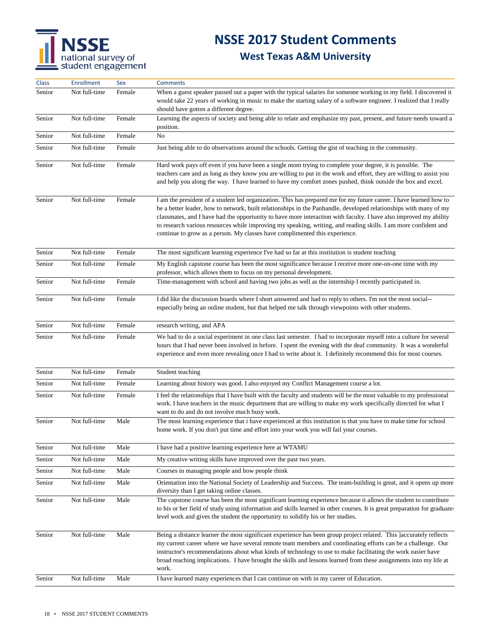## **NSSE 2017 Student Comments**

| Class  | <b>Enrollment</b> | Sex    | <b>Comments</b>                                                                                                                                                                                                                                                                                                                                                                                                                                                                                                                                                |  |
|--------|-------------------|--------|----------------------------------------------------------------------------------------------------------------------------------------------------------------------------------------------------------------------------------------------------------------------------------------------------------------------------------------------------------------------------------------------------------------------------------------------------------------------------------------------------------------------------------------------------------------|--|
| Senior | Not full-time     | Female | When a guest speaker passed out a paper with the typical salaries for someone working in my field. I discovered it<br>would take 22 years of working in music to make the starting salary of a software engineer. I realized that I really<br>should have gotten a different degree.                                                                                                                                                                                                                                                                           |  |
| Senior | Not full-time     | Female | Learning the aspects of society and being able to relate and emphasize my past, present, and future needs toward a<br>position.                                                                                                                                                                                                                                                                                                                                                                                                                                |  |
| Senior | Not full-time     | Female | No                                                                                                                                                                                                                                                                                                                                                                                                                                                                                                                                                             |  |
| Senior | Not full-time     | Female | Just being able to do observations around the schools. Getting the gist of teaching in the community.                                                                                                                                                                                                                                                                                                                                                                                                                                                          |  |
| Senior | Not full-time     | Female | Hard work pays off even if you have been a single mom trying to complete your degree, it is possible. The<br>teachers care and as long as they know you are willing to put in the work and effort, they are willing to assist you<br>and help you along the way. I have learned to have my comfort zones pushed, think outside the box and excel.                                                                                                                                                                                                              |  |
| Senior | Not full-time     | Female | I am the president of a student led organization. This has prepared me for my future career. I have learned how to<br>be a better leader, how to network, built relationships in the Panhandle, developed relationships with many of my<br>classmates, and I have had the opportunity to have more interaction with faculty. I have also improved my ability<br>to research various resources while improving my speaking, writing, and reading skills. I am more confident and<br>continue to grow as a person. My classes have complimented this experience. |  |
| Senior | Not full-time     | Female | The most significant learning experience I've had so far at this institution is student teaching                                                                                                                                                                                                                                                                                                                                                                                                                                                               |  |
| Senior | Not full-time     | Female | My English capstone course has been the most significance because I receive more one-on-one time with my<br>professor, which allows them to focus on my personal development.                                                                                                                                                                                                                                                                                                                                                                                  |  |
| Senior | Not full-time     | Female | Time-management with school and having two jobs as well as the internship I recently participated in.                                                                                                                                                                                                                                                                                                                                                                                                                                                          |  |
| Senior | Not full-time     | Female | I did like the discussion boards where I short answered and had to reply to others. I'm not the most social--<br>especially being an online student, but that helped me talk through viewpoints with other students.                                                                                                                                                                                                                                                                                                                                           |  |
| Senior | Not full-time     | Female | research writing, and APA                                                                                                                                                                                                                                                                                                                                                                                                                                                                                                                                      |  |
| Senior | Not full-time     | Female | We had to do a social experiment in one class last semester. I had to incorporate myself into a culture for several<br>hours that I had never been involved in before. I spent the evening with the deaf community. It was a wonderful<br>experience and even more revealing once I had to write about it. I definitely recommend this for most courses.                                                                                                                                                                                                       |  |
| Senior | Not full-time     | Female | Student teaching                                                                                                                                                                                                                                                                                                                                                                                                                                                                                                                                               |  |
| Senior | Not full-time     | Female | Learning about history was good. I also enjoyed my Conflict Management course a lot.                                                                                                                                                                                                                                                                                                                                                                                                                                                                           |  |
| Senior | Not full-time     | Female | I feel the relationships that I have built with the faculty and students will be the most valuable to my professional<br>work. I have teachers in the music department that are willing to make my work specifically directed for what I<br>want to do and do not involve much busy work.                                                                                                                                                                                                                                                                      |  |
| Senior | Not full-time     | Male   | The most learning experience that i have experienced at this institution is that you have to make time for school<br>home work. If you don't put time and effort into your work you will fail your courses.                                                                                                                                                                                                                                                                                                                                                    |  |
| Senior | Not full-time     | Male   | I have had a positive learning experience here at WTAMU                                                                                                                                                                                                                                                                                                                                                                                                                                                                                                        |  |
| Senior | Not full-time     | Male   | My creative writing skills have improved over the past two years.                                                                                                                                                                                                                                                                                                                                                                                                                                                                                              |  |
| Senior | Not full-time     | Male   | Courses in managing people and how people think                                                                                                                                                                                                                                                                                                                                                                                                                                                                                                                |  |
| Senior | Not full-time     | Male   | Orientation into the National Society of Leadership and Success. The team-building is great, and it opens up more<br>diversity than I get taking online classes.                                                                                                                                                                                                                                                                                                                                                                                               |  |
| Senior | Not full-time     | Male   | The capstone course has been the most significant learning experience because it allows the student to contribute<br>to his or her field of study using information and skills learned in other courses. It is great preparation for graduate-<br>level work and gives the student the opportunity to solidify his or her studies.                                                                                                                                                                                                                             |  |
| Senior | Not full-time     | Male   | Being a distance learner the most significant experience has been group project related. This Jaccurately reflects<br>my current career where we have several remote team members and coordinating efforts can be a challenge. Our<br>instructor's recommendations about what kinds of technology to use to make facilitating the work easier have<br>broad reaching implications. I have brought the skills and lessons learned from these assignments into my life at<br>work.                                                                               |  |
| Senior | Not full-time     | Male   | I have learned many experiences that I can continue on with in my career of Education.                                                                                                                                                                                                                                                                                                                                                                                                                                                                         |  |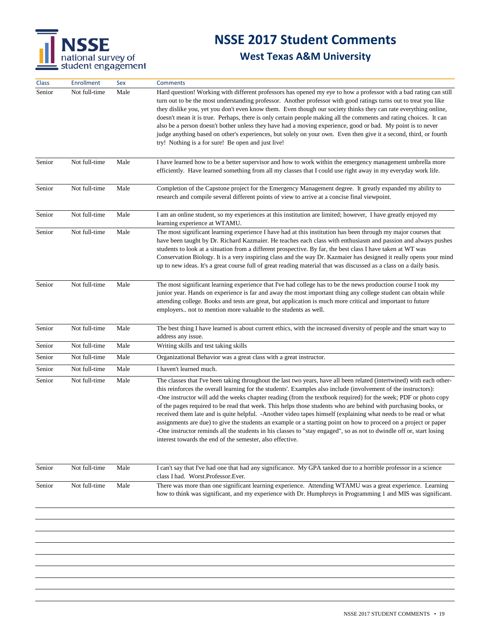

| Class  | <b>Enrollment</b> | Sex  | <b>Comments</b>                                                                                                                                                                                                                                                                                                                                                                                                                                                                                                                                                                                                                                                                                                                                                                                                                                                                                            |  |
|--------|-------------------|------|------------------------------------------------------------------------------------------------------------------------------------------------------------------------------------------------------------------------------------------------------------------------------------------------------------------------------------------------------------------------------------------------------------------------------------------------------------------------------------------------------------------------------------------------------------------------------------------------------------------------------------------------------------------------------------------------------------------------------------------------------------------------------------------------------------------------------------------------------------------------------------------------------------|--|
| Senior | Not full-time     | Male | Hard question! Working with different professors has opened my eye to how a professor with a bad rating can still<br>turn out to be the most understanding professor. Another professor with good ratings turns out to treat you like<br>they dislike you, yet you don't even know them. Even though our society thinks they can rate everything online,<br>doesn't mean it is true. Perhaps, there is only certain people making all the comments and rating choices. It can<br>also be a person doesn't bother unless they have had a moving experience, good or bad. My point is to never<br>judge anything based on other's experiences, but solely on your own. Even then give it a second, third, or fourth<br>try! Nothing is a for sure! Be open and just live!                                                                                                                                    |  |
| Senior | Not full-time     | Male | I have learned how to be a better supervisor and how to work within the emergency management umbrella more<br>efficiently. Have learned something from all my classes that I could use right away in my everyday work life.                                                                                                                                                                                                                                                                                                                                                                                                                                                                                                                                                                                                                                                                                |  |
| Senior | Not full-time     | Male | Completion of the Capstone project for the Emergency Management degree. It greatly expanded my ability to<br>research and compile several different points of view to arrive at a concise final viewpoint.                                                                                                                                                                                                                                                                                                                                                                                                                                                                                                                                                                                                                                                                                                 |  |
| Senior | Not full-time     | Male | I am an online student, so my experiences at this institution are limited; however, I have greatly enjoyed my<br>learning experience at WTAMU.                                                                                                                                                                                                                                                                                                                                                                                                                                                                                                                                                                                                                                                                                                                                                             |  |
| Senior | Not full-time     | Male | The most significant learning experience I have had at this institution has been through my major courses that<br>have been taught by Dr. Richard Kazmaier. He teaches each class with enthusiasm and passion and always pushes<br>students to look at a situation from a different prospective. By far, the best class I have taken at WT was<br>Conservation Biology. It is a very inspiring class and the way Dr. Kazmaier has designed it really opens your mind<br>up to new ideas. It's a great course full of great reading material that was discussed as a class on a daily basis.                                                                                                                                                                                                                                                                                                                |  |
| Senior | Not full-time     | Male | The most significant learning experience that I've had college has to be the news production course I took my<br>junior year. Hands on experience is far and away the most important thing any college student can obtain while<br>attending college. Books and tests are great, but application is much more critical and important to future<br>employers not to mention more valuable to the students as well.                                                                                                                                                                                                                                                                                                                                                                                                                                                                                          |  |
| Senior | Not full-time     | Male | The best thing I have learned is about current ethics, with the increased diversity of people and the smart way to<br>address any issue.                                                                                                                                                                                                                                                                                                                                                                                                                                                                                                                                                                                                                                                                                                                                                                   |  |
| Senior | Not full-time     | Male | Writing skills and test taking skills                                                                                                                                                                                                                                                                                                                                                                                                                                                                                                                                                                                                                                                                                                                                                                                                                                                                      |  |
| Senior | Not full-time     | Male | Organizational Behavior was a great class with a great instructor.                                                                                                                                                                                                                                                                                                                                                                                                                                                                                                                                                                                                                                                                                                                                                                                                                                         |  |
| Senior | Not full-time     | Male | I haven't learned much.                                                                                                                                                                                                                                                                                                                                                                                                                                                                                                                                                                                                                                                                                                                                                                                                                                                                                    |  |
| Senior | Not full-time     | Male | The classes that I've been taking throughout the last two years, have all been related (intertwined) with each other-<br>this reinforces the overall learning for the students'. Examples also include (involvement of the instructors):<br>-One instructor will add the weeks chapter reading (from the textbook required) for the week; PDF or photo copy<br>of the pages required to be read that week. This helps those students who are behind with purchasing books, or<br>received them late and is quite helpful. - Another video tapes himself (explaining what needs to be read or what<br>assignments are due) to give the students an example or a starting point on how to proceed on a project or paper<br>-One instructor reminds all the students in his classes to "stay engaged", so as not to dwindle off or, start losing<br>interest towards the end of the semester, also effective. |  |
| Senior | Not full-time     | Male | I can't say that I've had one that had any significance. My GPA tanked due to a horrible professor in a science<br>class I had. Worst.Professor.Ever.                                                                                                                                                                                                                                                                                                                                                                                                                                                                                                                                                                                                                                                                                                                                                      |  |
| Senior | Not full-time     | Male | There was more than one significant learning experience. Attending WTAMU was a great experience. Learning<br>how to think was significant, and my experience with Dr. Humphreys in Programming 1 and MIS was significant.                                                                                                                                                                                                                                                                                                                                                                                                                                                                                                                                                                                                                                                                                  |  |
|        |                   |      |                                                                                                                                                                                                                                                                                                                                                                                                                                                                                                                                                                                                                                                                                                                                                                                                                                                                                                            |  |
|        |                   |      |                                                                                                                                                                                                                                                                                                                                                                                                                                                                                                                                                                                                                                                                                                                                                                                                                                                                                                            |  |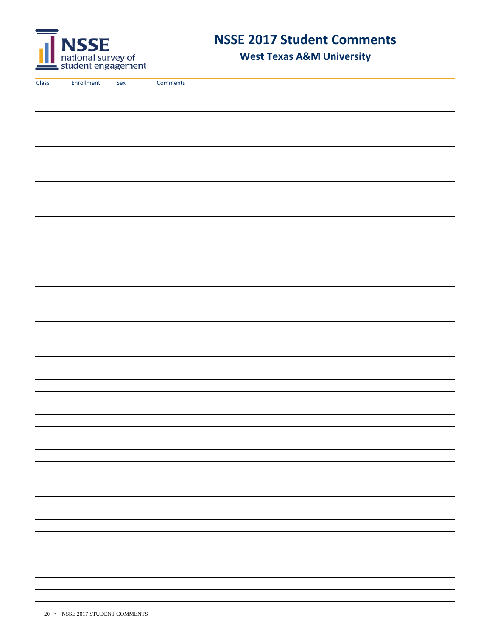

**West Texas A&M University**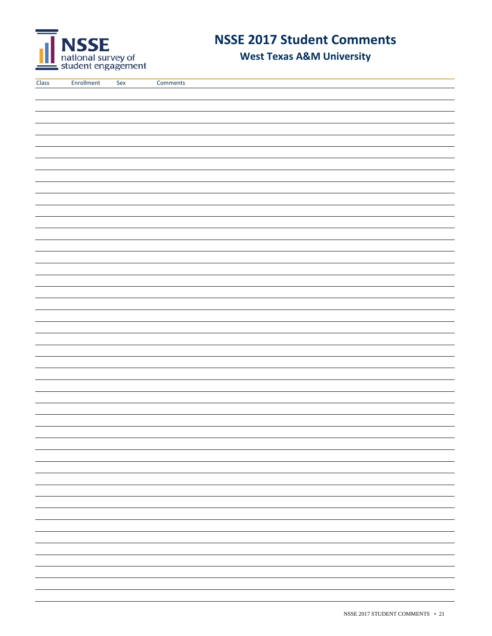

**West Texas A&M University**

| $\sim$ |
|--------|
|        |
|        |
|        |
|        |
|        |
|        |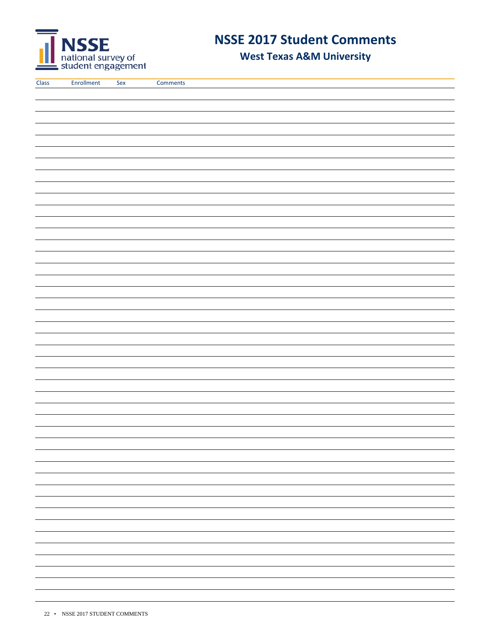

**West Texas A&M University**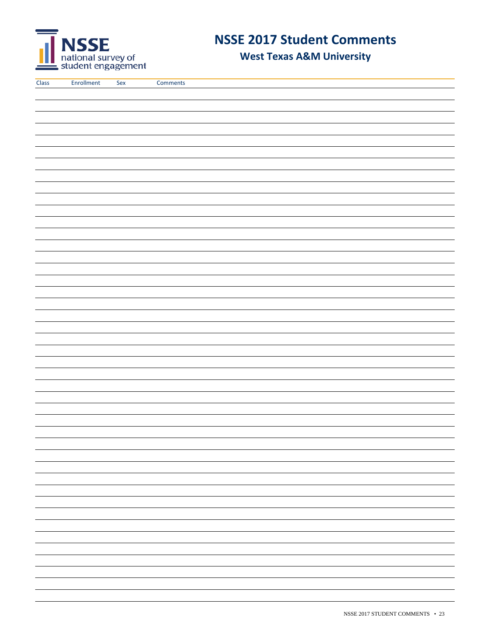

**West Texas A&M University**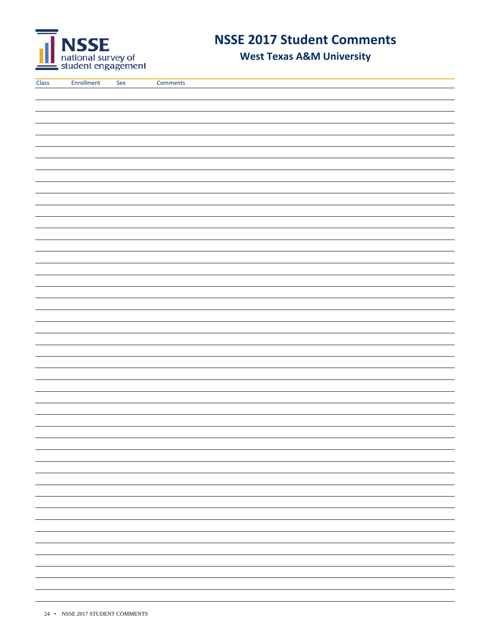

**West Texas A&M University**